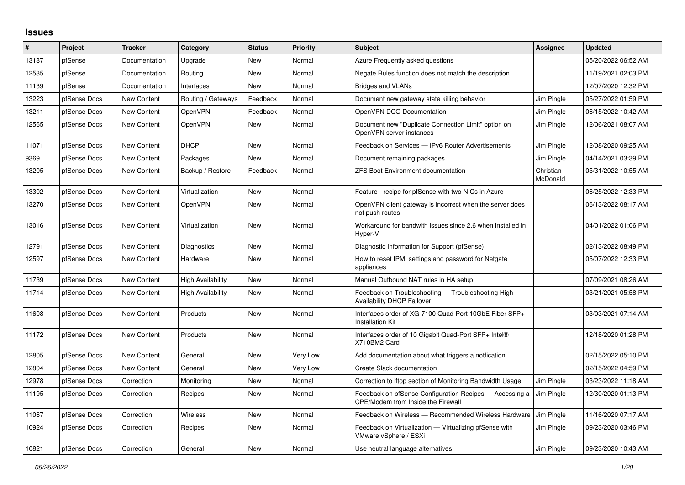## **Issues**

| $\pmb{\sharp}$ | Project      | <b>Tracker</b>     | Category                 | <b>Status</b> | <b>Priority</b> | <b>Subject</b>                                                                                       | <b>Assignee</b>       | <b>Updated</b>      |
|----------------|--------------|--------------------|--------------------------|---------------|-----------------|------------------------------------------------------------------------------------------------------|-----------------------|---------------------|
| 13187          | pfSense      | Documentation      | Upgrade                  | New           | Normal          | Azure Frequently asked questions                                                                     |                       | 05/20/2022 06:52 AM |
| 12535          | pfSense      | Documentation      | Routing                  | New           | Normal          | Negate Rules function does not match the description                                                 |                       | 11/19/2021 02:03 PM |
| 11139          | pfSense      | Documentation      | Interfaces               | New           | Normal          | <b>Bridges and VLANs</b>                                                                             |                       | 12/07/2020 12:32 PM |
| 13223          | pfSense Docs | New Content        | Routing / Gateways       | Feedback      | Normal          | Document new gateway state killing behavior                                                          | Jim Pingle            | 05/27/2022 01:59 PM |
| 13211          | pfSense Docs | New Content        | OpenVPN                  | Feedback      | Normal          | OpenVPN DCO Documentation                                                                            | Jim Pingle            | 06/15/2022 10:42 AM |
| 12565          | pfSense Docs | <b>New Content</b> | OpenVPN                  | <b>New</b>    | Normal          | Document new "Duplicate Connection Limit" option on<br>OpenVPN server instances                      | Jim Pingle            | 12/06/2021 08:07 AM |
| 11071          | pfSense Docs | New Content        | <b>DHCP</b>              | New           | Normal          | Feedback on Services - IPv6 Router Advertisements                                                    | Jim Pingle            | 12/08/2020 09:25 AM |
| 9369           | pfSense Docs | <b>New Content</b> | Packages                 | <b>New</b>    | Normal          | Document remaining packages                                                                          | Jim Pingle            | 04/14/2021 03:39 PM |
| 13205          | pfSense Docs | New Content        | Backup / Restore         | Feedback      | Normal          | <b>ZFS Boot Environment documentation</b>                                                            | Christian<br>McDonald | 05/31/2022 10:55 AM |
| 13302          | pfSense Docs | New Content        | Virtualization           | New           | Normal          | Feature - recipe for pfSense with two NICs in Azure                                                  |                       | 06/25/2022 12:33 PM |
| 13270          | pfSense Docs | New Content        | OpenVPN                  | New           | Normal          | OpenVPN client gateway is incorrect when the server does<br>not push routes                          |                       | 06/13/2022 08:17 AM |
| 13016          | pfSense Docs | New Content        | Virtualization           | New           | Normal          | Workaround for bandwith issues since 2.6 when installed in<br>Hyper-V                                |                       | 04/01/2022 01:06 PM |
| 12791          | pfSense Docs | <b>New Content</b> | Diagnostics              | New           | Normal          | Diagnostic Information for Support (pfSense)                                                         |                       | 02/13/2022 08:49 PM |
| 12597          | pfSense Docs | New Content        | Hardware                 | <b>New</b>    | Normal          | How to reset IPMI settings and password for Netgate<br>appliances                                    |                       | 05/07/2022 12:33 PM |
| 11739          | pfSense Docs | New Content        | <b>High Availability</b> | New           | Normal          | Manual Outbound NAT rules in HA setup                                                                |                       | 07/09/2021 08:26 AM |
| 11714          | pfSense Docs | New Content        | High Availability        | <b>New</b>    | Normal          | Feedback on Troubleshooting - Troubleshooting High<br><b>Availability DHCP Failover</b>              |                       | 03/21/2021 05:58 PM |
| 11608          | pfSense Docs | New Content        | Products                 | <b>New</b>    | Normal          | Interfaces order of XG-7100 Quad-Port 10GbE Fiber SFP+<br>Installation Kit                           |                       | 03/03/2021 07:14 AM |
| 11172          | pfSense Docs | New Content        | Products                 | New           | Normal          | Interfaces order of 10 Gigabit Quad-Port SFP+ Intel®<br>X710BM2 Card                                 |                       | 12/18/2020 01:28 PM |
| 12805          | pfSense Docs | New Content        | General                  | New           | Very Low        | Add documentation about what triggers a notfication                                                  |                       | 02/15/2022 05:10 PM |
| 12804          | pfSense Docs | New Content        | General                  | New           | Very Low        | Create Slack documentation                                                                           |                       | 02/15/2022 04:59 PM |
| 12978          | pfSense Docs | Correction         | Monitoring               | New           | Normal          | Correction to iftop section of Monitoring Bandwidth Usage                                            | Jim Pingle            | 03/23/2022 11:18 AM |
| 11195          | pfSense Docs | Correction         | Recipes                  | New           | Normal          | Feedback on pfSense Configuration Recipes - Accessing a<br><b>CPE/Modem from Inside the Firewall</b> | Jim Pingle            | 12/30/2020 01:13 PM |
| 11067          | pfSense Docs | Correction         | <b>Wireless</b>          | New           | Normal          | Feedback on Wireless - Recommended Wireless Hardware                                                 | Jim Pingle            | 11/16/2020 07:17 AM |
| 10924          | pfSense Docs | Correction         | Recipes                  | New           | Normal          | Feedback on Virtualization - Virtualizing pfSense with<br>VMware vSphere / ESXi                      | Jim Pingle            | 09/23/2020 03:46 PM |
| 10821          | pfSense Docs | Correction         | General                  | <b>New</b>    | Normal          | Use neutral language alternatives                                                                    | Jim Pingle            | 09/23/2020 10:43 AM |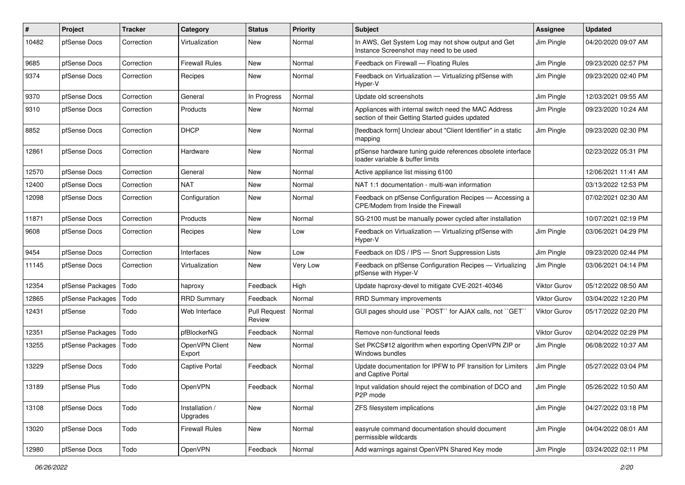| $\vert$ # | Project          | <b>Tracker</b> | Category                   | <b>Status</b>                 | <b>Priority</b> | <b>Subject</b>                                                                                          | Assignee            | <b>Updated</b>      |
|-----------|------------------|----------------|----------------------------|-------------------------------|-----------------|---------------------------------------------------------------------------------------------------------|---------------------|---------------------|
| 10482     | pfSense Docs     | Correction     | Virtualization             | New                           | Normal          | In AWS, Get System Log may not show output and Get<br>Instance Screenshot may need to be used           | Jim Pingle          | 04/20/2020 09:07 AM |
| 9685      | pfSense Docs     | Correction     | Firewall Rules             | New                           | Normal          | Feedback on Firewall - Floating Rules                                                                   | Jim Pingle          | 09/23/2020 02:57 PM |
| 9374      | pfSense Docs     | Correction     | Recipes                    | New                           | Normal          | Feedback on Virtualization - Virtualizing pfSense with<br>Hyper-V                                       | Jim Pingle          | 09/23/2020 02:40 PM |
| 9370      | pfSense Docs     | Correction     | General                    | In Progress                   | Normal          | Update old screenshots                                                                                  | Jim Pingle          | 12/03/2021 09:55 AM |
| 9310      | pfSense Docs     | Correction     | Products                   | New                           | Normal          | Appliances with internal switch need the MAC Address<br>section of their Getting Started guides updated | Jim Pingle          | 09/23/2020 10:24 AM |
| 8852      | pfSense Docs     | Correction     | <b>DHCP</b>                | New                           | Normal          | [feedback form] Unclear about "Client Identifier" in a static<br>mapping                                | Jim Pingle          | 09/23/2020 02:30 PM |
| 12861     | pfSense Docs     | Correction     | Hardware                   | New                           | Normal          | pfSense hardware tuning guide references obsolete interface<br>loader variable & buffer limits          |                     | 02/23/2022 05:31 PM |
| 12570     | pfSense Docs     | Correction     | General                    | <b>New</b>                    | Normal          | Active appliance list missing 6100                                                                      |                     | 12/06/2021 11:41 AM |
| 12400     | pfSense Docs     | Correction     | NAT                        | New                           | Normal          | NAT 1:1 documentation - multi-wan information                                                           |                     | 03/13/2022 12:53 PM |
| 12098     | pfSense Docs     | Correction     | Configuration              | New                           | Normal          | Feedback on pfSense Configuration Recipes - Accessing a<br>CPE/Modem from Inside the Firewall           |                     | 07/02/2021 02:30 AM |
| 11871     | pfSense Docs     | Correction     | Products                   | New                           | Normal          | SG-2100 must be manually power cycled after installation                                                |                     | 10/07/2021 02:19 PM |
| 9608      | pfSense Docs     | Correction     | Recipes                    | New                           | Low             | Feedback on Virtualization - Virtualizing pfSense with<br>Hyper-V                                       | Jim Pingle          | 03/06/2021 04:29 PM |
| 9454      | pfSense Docs     | Correction     | Interfaces                 | New                           | Low             | Feedback on IDS / IPS - Snort Suppression Lists                                                         | Jim Pingle          | 09/23/2020 02:44 PM |
| 11145     | pfSense Docs     | Correction     | Virtualization             | New                           | Very Low        | Feedback on pfSense Configuration Recipes - Virtualizing<br>pfSense with Hyper-V                        | Jim Pingle          | 03/06/2021 04:14 PM |
| 12354     | pfSense Packages | Todo           | haproxy                    | Feedback                      | High            | Update haproxy-devel to mitigate CVE-2021-40346                                                         | <b>Viktor Gurov</b> | 05/12/2022 08:50 AM |
| 12865     | pfSense Packages | Todo           | <b>RRD Summary</b>         | Feedback                      | Normal          | <b>RRD Summary improvements</b>                                                                         | Viktor Gurov        | 03/04/2022 12:20 PM |
| 12431     | pfSense          | Todo           | Web Interface              | <b>Pull Request</b><br>Review | Normal          | GUI pages should use "POST" for AJAX calls, not "GET"                                                   | <b>Viktor Gurov</b> | 05/17/2022 02:20 PM |
| 12351     | pfSense Packages | Todo           | pfBlockerNG                | Feedback                      | Normal          | Remove non-functional feeds                                                                             | Viktor Gurov        | 02/04/2022 02:29 PM |
| 13255     | pfSense Packages | Todo           | OpenVPN Client<br>Export   | New                           | Normal          | Set PKCS#12 algorithm when exporting OpenVPN ZIP or<br>Windows bundles                                  | Jim Pingle          | 06/08/2022 10:37 AM |
| 13229     | pfSense Docs     | Todo           | <b>Captive Portal</b>      | Feedback                      | Normal          | Update documentation for IPFW to PF transition for Limiters<br>and Captive Portal                       | Jim Pingle          | 05/27/2022 03:04 PM |
| 13189     | pfSense Plus     | Todo           | <b>OpenVPN</b>             | Feedback                      | Normal          | Input validation should reject the combination of DCO and<br>P2P mode                                   | Jim Pingle          | 05/26/2022 10:50 AM |
| 13108     | pfSense Docs     | Todo           | Installation /<br>Upgrades | New                           | Normal          | ZFS filesystem implications                                                                             | Jim Pingle          | 04/27/2022 03:18 PM |
| 13020     | pfSense Docs     | Todo           | Firewall Rules             | New                           | Normal          | easyrule command documentation should document<br>permissible wildcards                                 | Jim Pingle          | 04/04/2022 08:01 AM |
| 12980     | pfSense Docs     | Todo           | OpenVPN                    | Feedback                      | Normal          | Add warnings against OpenVPN Shared Key mode                                                            | Jim Pingle          | 03/24/2022 02:11 PM |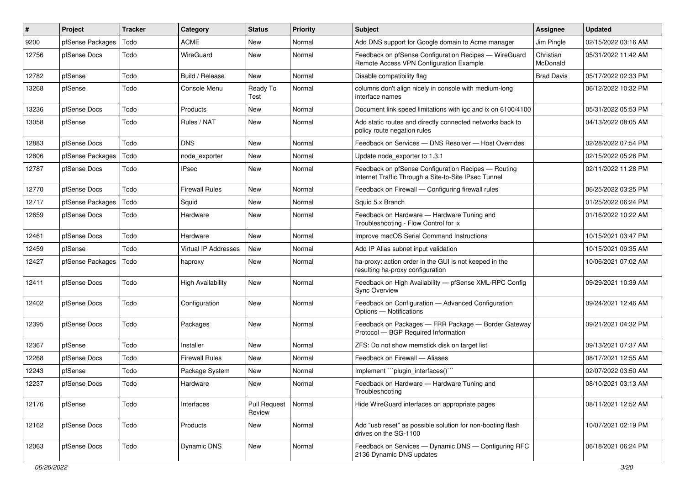| #     | Project          | <b>Tracker</b> | Category                    | <b>Status</b>                 | Priority | Subject                                                                                                     | <b>Assignee</b>       | <b>Updated</b>      |
|-------|------------------|----------------|-----------------------------|-------------------------------|----------|-------------------------------------------------------------------------------------------------------------|-----------------------|---------------------|
| 9200  | pfSense Packages | Todo           | <b>ACME</b>                 | New                           | Normal   | Add DNS support for Google domain to Acme manager                                                           | Jim Pingle            | 02/15/2022 03:16 AM |
| 12756 | pfSense Docs     | Todo           | WireGuard                   | New                           | Normal   | Feedback on pfSense Configuration Recipes - WireGuard<br>Remote Access VPN Configuration Example            | Christian<br>McDonald | 05/31/2022 11:42 AM |
| 12782 | pfSense          | Todo           | Build / Release             | <b>New</b>                    | Normal   | Disable compatibility flag                                                                                  | <b>Brad Davis</b>     | 05/17/2022 02:33 PM |
| 13268 | pfSense          | Todo           | Console Menu                | Ready To<br>Test              | Normal   | columns don't align nicely in console with medium-long<br>interface names                                   |                       | 06/12/2022 10:32 PM |
| 13236 | pfSense Docs     | Todo           | Products                    | New                           | Normal   | Document link speed limitations with igc and ix on 6100/4100                                                |                       | 05/31/2022 05:53 PM |
| 13058 | pfSense          | Todo           | Rules / NAT                 | <b>New</b>                    | Normal   | Add static routes and directly connected networks back to<br>policy route negation rules                    |                       | 04/13/2022 08:05 AM |
| 12883 | pfSense Docs     | Todo           | <b>DNS</b>                  | <b>New</b>                    | Normal   | Feedback on Services - DNS Resolver - Host Overrides                                                        |                       | 02/28/2022 07:54 PM |
| 12806 | pfSense Packages | Todo           | node exporter               | New                           | Normal   | Update node exporter to 1.3.1                                                                               |                       | 02/15/2022 05:26 PM |
| 12787 | pfSense Docs     | Todo           | <b>IPsec</b>                | New                           | Normal   | Feedback on pfSense Configuration Recipes - Routing<br>Internet Traffic Through a Site-to-Site IPsec Tunnel |                       | 02/11/2022 11:28 PM |
| 12770 | pfSense Docs     | Todo           | <b>Firewall Rules</b>       | New                           | Normal   | Feedback on Firewall — Configuring firewall rules                                                           |                       | 06/25/2022 03:25 PM |
| 12717 | pfSense Packages | Todo           | Squid                       | New                           | Normal   | Squid 5.x Branch                                                                                            |                       | 01/25/2022 06:24 PM |
| 12659 | pfSense Docs     | Todo           | Hardware                    | <b>New</b>                    | Normal   | Feedback on Hardware - Hardware Tuning and<br>Troubleshooting - Flow Control for ix                         |                       | 01/16/2022 10:22 AM |
| 12461 | pfSense Docs     | Todo           | Hardware                    | <b>New</b>                    | Normal   | Improve macOS Serial Command Instructions                                                                   |                       | 10/15/2021 03:47 PM |
| 12459 | pfSense          | Todo           | <b>Virtual IP Addresses</b> | <b>New</b>                    | Normal   | Add IP Alias subnet input validation                                                                        |                       | 10/15/2021 09:35 AM |
| 12427 | pfSense Packages | Todo           | haproxy                     | New                           | Normal   | ha-proxy: action order in the GUI is not keeped in the<br>resulting ha-proxy configuration                  |                       | 10/06/2021 07:02 AM |
| 12411 | pfSense Docs     | Todo           | <b>High Availability</b>    | <b>New</b>                    | Normal   | Feedback on High Availability - pfSense XML-RPC Config<br><b>Sync Overview</b>                              |                       | 09/29/2021 10:39 AM |
| 12402 | pfSense Docs     | Todo           | Configuration               | <b>New</b>                    | Normal   | Feedback on Configuration - Advanced Configuration<br>Options - Notifications                               |                       | 09/24/2021 12:46 AM |
| 12395 | pfSense Docs     | Todo           | Packages                    | New                           | Normal   | Feedback on Packages - FRR Package - Border Gateway<br>Protocol - BGP Required Information                  |                       | 09/21/2021 04:32 PM |
| 12367 | pfSense          | Todo           | Installer                   | <b>New</b>                    | Normal   | ZFS: Do not show memstick disk on target list                                                               |                       | 09/13/2021 07:37 AM |
| 12268 | pfSense Docs     | Todo           | <b>Firewall Rules</b>       | New                           | Normal   | Feedback on Firewall - Aliases                                                                              |                       | 08/17/2021 12:55 AM |
| 12243 | pfSense          | Todo           | Package System              | New                           | Normal   | Implement "plugin_interfaces()""                                                                            |                       | 02/07/2022 03:50 AM |
| 12237 | pfSense Docs     | Todo           | Hardware                    | <b>New</b>                    | Normal   | Feedback on Hardware - Hardware Tuning and<br>Troubleshooting                                               |                       | 08/10/2021 03:13 AM |
| 12176 | pfSense          | Todo           | Interfaces                  | <b>Pull Request</b><br>Review | Normal   | Hide WireGuard interfaces on appropriate pages                                                              |                       | 08/11/2021 12:52 AM |
| 12162 | pfSense Docs     | Todo           | Products                    | New                           | Normal   | Add "usb reset" as possible solution for non-booting flash<br>drives on the SG-1100                         |                       | 10/07/2021 02:19 PM |
| 12063 | pfSense Docs     | Todo           | Dynamic DNS                 | New                           | Normal   | Feedback on Services - Dynamic DNS - Configuring RFC<br>2136 Dynamic DNS updates                            |                       | 06/18/2021 06:24 PM |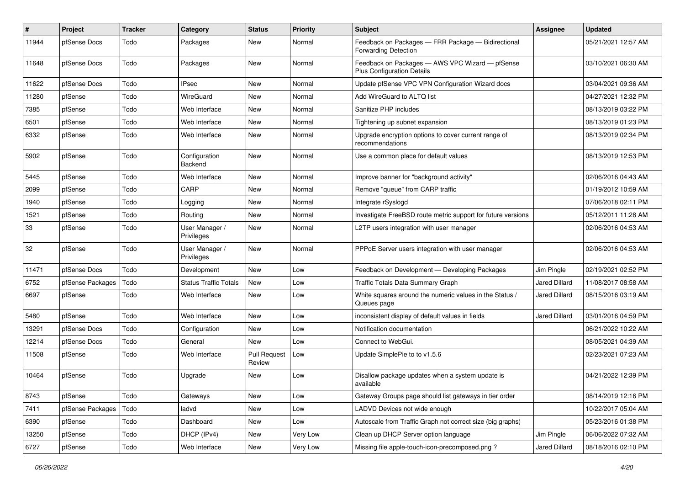| #     | Project          | <b>Tracker</b> | Category                     | <b>Status</b>                 | <b>Priority</b> | <b>Subject</b>                                                                       | Assignee             | <b>Updated</b>      |
|-------|------------------|----------------|------------------------------|-------------------------------|-----------------|--------------------------------------------------------------------------------------|----------------------|---------------------|
| 11944 | pfSense Docs     | Todo           | Packages                     | <b>New</b>                    | Normal          | Feedback on Packages - FRR Package - Bidirectional<br><b>Forwarding Detection</b>    |                      | 05/21/2021 12:57 AM |
| 11648 | pfSense Docs     | Todo           | Packages                     | <b>New</b>                    | Normal          | Feedback on Packages - AWS VPC Wizard - pfSense<br><b>Plus Configuration Details</b> |                      | 03/10/2021 06:30 AM |
| 11622 | pfSense Docs     | Todo           | <b>IPsec</b>                 | <b>New</b>                    | Normal          | Update pfSense VPC VPN Configuration Wizard docs                                     |                      | 03/04/2021 09:36 AM |
| 11280 | pfSense          | Todo           | WireGuard                    | <b>New</b>                    | Normal          | Add WireGuard to ALTQ list                                                           |                      | 04/27/2021 12:32 PM |
| 7385  | pfSense          | Todo           | Web Interface                | <b>New</b>                    | Normal          | Sanitize PHP includes                                                                |                      | 08/13/2019 03:22 PM |
| 6501  | pfSense          | Todo           | Web Interface                | New                           | Normal          | Tightening up subnet expansion                                                       |                      | 08/13/2019 01:23 PM |
| 6332  | pfSense          | Todo           | Web Interface                | New                           | Normal          | Upgrade encryption options to cover current range of<br>recommendations              |                      | 08/13/2019 02:34 PM |
| 5902  | pfSense          | Todo           | Configuration<br>Backend     | <b>New</b>                    | Normal          | Use a common place for default values                                                |                      | 08/13/2019 12:53 PM |
| 5445  | pfSense          | Todo           | Web Interface                | New                           | Normal          | Improve banner for "background activity"                                             |                      | 02/06/2016 04:43 AM |
| 2099  | pfSense          | Todo           | CARP                         | <b>New</b>                    | Normal          | Remove "queue" from CARP traffic                                                     |                      | 01/19/2012 10:59 AM |
| 1940  | pfSense          | Todo           | Logging                      | New                           | Normal          | Integrate rSyslogd                                                                   |                      | 07/06/2018 02:11 PM |
| 1521  | pfSense          | Todo           | Routing                      | New                           | Normal          | Investigate FreeBSD route metric support for future versions                         |                      | 05/12/2011 11:28 AM |
| 33    | pfSense          | Todo           | User Manager /<br>Privileges | New                           | Normal          | L2TP users integration with user manager                                             |                      | 02/06/2016 04:53 AM |
| 32    | pfSense          | Todo           | User Manager /<br>Privileges | New                           | Normal          | PPPoE Server users integration with user manager                                     |                      | 02/06/2016 04:53 AM |
| 11471 | pfSense Docs     | Todo           | Development                  | New                           | Low             | Feedback on Development - Developing Packages                                        | Jim Pingle           | 02/19/2021 02:52 PM |
| 6752  | pfSense Packages | Todo           | <b>Status Traffic Totals</b> | <b>New</b>                    | Low             | Traffic Totals Data Summary Graph                                                    | Jared Dillard        | 11/08/2017 08:58 AM |
| 6697  | pfSense          | Todo           | Web Interface                | New                           | Low             | White squares around the numeric values in the Status /<br>Queues page               | Jared Dillard        | 08/15/2016 03:19 AM |
| 5480  | pfSense          | Todo           | Web Interface                | New                           | Low             | inconsistent display of default values in fields                                     | <b>Jared Dillard</b> | 03/01/2016 04:59 PM |
| 13291 | pfSense Docs     | Todo           | Configuration                | <b>New</b>                    | Low             | Notification documentation                                                           |                      | 06/21/2022 10:22 AM |
| 12214 | pfSense Docs     | Todo           | General                      | <b>New</b>                    | Low             | Connect to WebGui.                                                                   |                      | 08/05/2021 04:39 AM |
| 11508 | pfSense          | Todo           | Web Interface                | <b>Pull Request</b><br>Review | Low             | Update SimplePie to to v1.5.6                                                        |                      | 02/23/2021 07:23 AM |
| 10464 | pfSense          | Todo           | Upgrade                      | New                           | Low             | Disallow package updates when a system update is<br>available                        |                      | 04/21/2022 12:39 PM |
| 8743  | pfSense          | Todo           | Gateways                     | New                           | Low             | Gateway Groups page should list gateways in tier order                               |                      | 08/14/2019 12:16 PM |
| 7411  | pfSense Packages | Todo           | ladvd                        | New                           | Low             | LADVD Devices not wide enough                                                        |                      | 10/22/2017 05:04 AM |
| 6390  | pfSense          | Todo           | Dashboard                    | New                           | Low             | Autoscale from Traffic Graph not correct size (big graphs)                           |                      | 05/23/2016 01:38 PM |
| 13250 | pfSense          | Todo           | DHCP (IPv4)                  | New                           | Very Low        | Clean up DHCP Server option language                                                 | Jim Pingle           | 06/06/2022 07:32 AM |
| 6727  | pfSense          | Todo           | Web Interface                | New                           | Very Low        | Missing file apple-touch-icon-precomposed.png?                                       | Jared Dillard        | 08/18/2016 02:10 PM |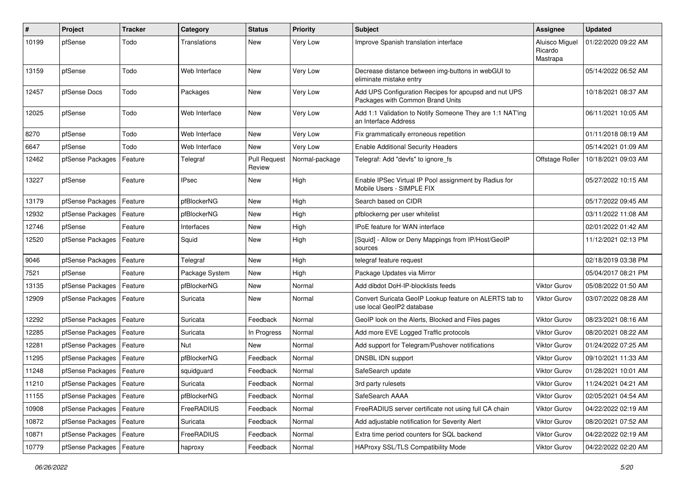| $\sharp$ | <b>Project</b>             | <b>Tracker</b> | Category          | <b>Status</b>                 | <b>Priority</b> | <b>Subject</b>                                                                            | Assignee                              | <b>Updated</b>      |
|----------|----------------------------|----------------|-------------------|-------------------------------|-----------------|-------------------------------------------------------------------------------------------|---------------------------------------|---------------------|
| 10199    | pfSense                    | Todo           | Translations      | New                           | Very Low        | Improve Spanish translation interface                                                     | Aluisco Miguel<br>Ricardo<br>Mastrapa | 01/22/2020 09:22 AM |
| 13159    | pfSense                    | Todo           | Web Interface     | New                           | Very Low        | Decrease distance between img-buttons in webGUI to<br>eliminate mistake entry             |                                       | 05/14/2022 06:52 AM |
| 12457    | pfSense Docs               | Todo           | Packages          | New                           | Very Low        | Add UPS Configuration Recipes for apcupsd and nut UPS<br>Packages with Common Brand Units |                                       | 10/18/2021 08:37 AM |
| 12025    | pfSense                    | Todo           | Web Interface     | New                           | Very Low        | Add 1:1 Validation to Notify Someone They are 1:1 NAT'ing<br>an Interface Address         |                                       | 06/11/2021 10:05 AM |
| 8270     | pfSense                    | Todo           | Web Interface     | <b>New</b>                    | Very Low        | Fix grammatically erroneous repetition                                                    |                                       | 01/11/2018 08:19 AM |
| 6647     | pfSense                    | Todo           | Web Interface     | New                           | Very Low        | <b>Enable Additional Security Headers</b>                                                 |                                       | 05/14/2021 01:09 AM |
| 12462    | pfSense Packages           | Feature        | Telegraf          | <b>Pull Request</b><br>Review | Normal-package  | Telegraf: Add "devfs" to ignore fs                                                        | Offstage Roller                       | 10/18/2021 09:03 AM |
| 13227    | pfSense                    | Feature        | <b>IPsec</b>      | New                           | High            | Enable IPSec Virtual IP Pool assignment by Radius for<br>Mobile Users - SIMPLE FIX        |                                       | 05/27/2022 10:15 AM |
| 13179    | pfSense Packages           | Feature        | pfBlockerNG       | <b>New</b>                    | High            | Search based on CIDR                                                                      |                                       | 05/17/2022 09:45 AM |
| 12932    | pfSense Packages           | Feature        | pfBlockerNG       | New                           | High            | pfblockerng per user whitelist                                                            |                                       | 03/11/2022 11:08 AM |
| 12746    | pfSense                    | Feature        | Interfaces        | New                           | High            | <b>IPoE</b> feature for WAN interface                                                     |                                       | 02/01/2022 01:42 AM |
| 12520    | pfSense Packages           | Feature        | Squid             | New                           | High            | [Squid] - Allow or Deny Mappings from IP/Host/GeoIP<br>sources                            |                                       | 11/12/2021 02:13 PM |
| 9046     | pfSense Packages           | Feature        | Telegraf          | <b>New</b>                    | High            | telegraf feature request                                                                  |                                       | 02/18/2019 03:38 PM |
| 7521     | pfSense                    | Feature        | Package System    | New                           | High            | Package Updates via Mirror                                                                |                                       | 05/04/2017 08:21 PM |
| 13135    | pfSense Packages           | Feature        | pfBlockerNG       | New                           | Normal          | Add dibdot DoH-IP-blocklists feeds                                                        | <b>Viktor Gurov</b>                   | 05/08/2022 01:50 AM |
| 12909    | pfSense Packages           | Feature        | Suricata          | New                           | Normal          | Convert Suricata GeoIP Lookup feature on ALERTS tab to<br>use local GeoIP2 database       | <b>Viktor Gurov</b>                   | 03/07/2022 08:28 AM |
| 12292    | pfSense Packages           | Feature        | Suricata          | Feedback                      | Normal          | GeoIP look on the Alerts, Blocked and Files pages                                         | Viktor Gurov                          | 08/23/2021 08:16 AM |
| 12285    | pfSense Packages           | Feature        | Suricata          | In Progress                   | Normal          | Add more EVE Logged Traffic protocols                                                     | Viktor Gurov                          | 08/20/2021 08:22 AM |
| 12281    | pfSense Packages           | Feature        | Nut               | New                           | Normal          | Add support for Telegram/Pushover notifications                                           | <b>Viktor Gurov</b>                   | 01/24/2022 07:25 AM |
| 11295    | pfSense Packages           | Feature        | pfBlockerNG       | Feedback                      | Normal          | DNSBL IDN support                                                                         | <b>Viktor Gurov</b>                   | 09/10/2021 11:33 AM |
| 11248    | pfSense Packages           | Feature        | squidguard        | Feedback                      | Normal          | SafeSearch update                                                                         | <b>Viktor Gurov</b>                   | 01/28/2021 10:01 AM |
| 11210    | pfSense Packages   Feature |                | Suricata          | Feedback                      | Normal          | 3rd party rulesets                                                                        | <b>Viktor Gurov</b>                   | 11/24/2021 04:21 AM |
| 11155    | pfSense Packages           | Feature        | pfBlockerNG       | Feedback                      | Normal          | SafeSearch AAAA                                                                           | Viktor Gurov                          | 02/05/2021 04:54 AM |
| 10908    | pfSense Packages           | Feature        | FreeRADIUS        | Feedback                      | Normal          | FreeRADIUS server certificate not using full CA chain                                     | Viktor Gurov                          | 04/22/2022 02:19 AM |
| 10872    | pfSense Packages           | Feature        | Suricata          | Feedback                      | Normal          | Add adjustable notification for Severity Alert                                            | Viktor Gurov                          | 08/20/2021 07:52 AM |
| 10871    | pfSense Packages           | Feature        | <b>FreeRADIUS</b> | Feedback                      | Normal          | Extra time period counters for SQL backend                                                | Viktor Gurov                          | 04/22/2022 02:19 AM |
| 10779    | pfSense Packages           | Feature        | haproxy           | Feedback                      | Normal          | HAProxy SSL/TLS Compatibility Mode                                                        | Viktor Gurov                          | 04/22/2022 02:20 AM |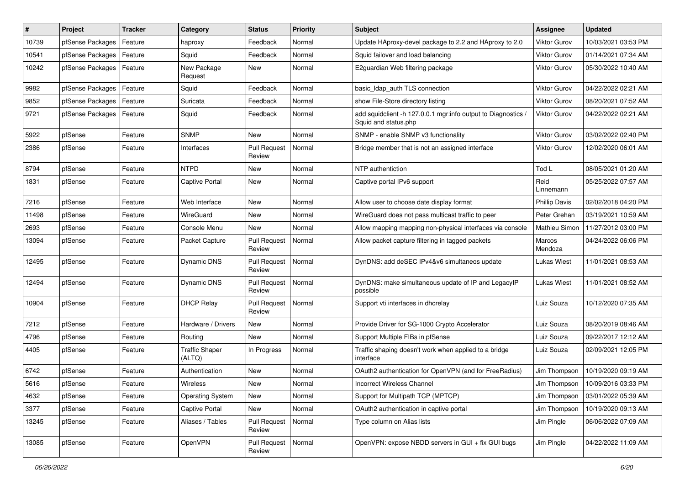| #     | Project          | <b>Tracker</b> | Category                        | <b>Status</b>                 | <b>Priority</b> | <b>Subject</b>                                                                        | <b>Assignee</b>      | <b>Updated</b>      |
|-------|------------------|----------------|---------------------------------|-------------------------------|-----------------|---------------------------------------------------------------------------------------|----------------------|---------------------|
| 10739 | pfSense Packages | Feature        | haproxy                         | Feedback                      | Normal          | Update HAproxy-devel package to 2.2 and HAproxy to 2.0                                | <b>Viktor Gurov</b>  | 10/03/2021 03:53 PM |
| 10541 | pfSense Packages | Feature        | Squid                           | Feedback                      | Normal          | Squid failover and load balancing                                                     | Viktor Gurov         | 01/14/2021 07:34 AM |
| 10242 | pfSense Packages | Feature        | New Package<br>Request          | New                           | Normal          | E2quardian Web filtering package                                                      | Viktor Gurov         | 05/30/2022 10:40 AM |
| 9982  | pfSense Packages | Feature        | Squid                           | Feedback                      | Normal          | basic_Idap_auth TLS connection                                                        | <b>Viktor Gurov</b>  | 04/22/2022 02:21 AM |
| 9852  | pfSense Packages | Feature        | Suricata                        | Feedback                      | Normal          | show File-Store directory listing                                                     | <b>Viktor Gurov</b>  | 08/20/2021 07:52 AM |
| 9721  | pfSense Packages | Feature        | Squid                           | Feedback                      | Normal          | add squidclient -h 127.0.0.1 mgr:info output to Diagnostics /<br>Squid and status.php | <b>Viktor Gurov</b>  | 04/22/2022 02:21 AM |
| 5922  | pfSense          | Feature        | <b>SNMP</b>                     | New                           | Normal          | SNMP - enable SNMP v3 functionality                                                   | <b>Viktor Gurov</b>  | 03/02/2022 02:40 PM |
| 2386  | pfSense          | Feature        | Interfaces                      | <b>Pull Request</b><br>Review | Normal          | Bridge member that is not an assigned interface                                       | Viktor Gurov         | 12/02/2020 06:01 AM |
| 8794  | pfSense          | Feature        | <b>NTPD</b>                     | <b>New</b>                    | Normal          | NTP authentiction                                                                     | Tod L                | 08/05/2021 01:20 AM |
| 1831  | pfSense          | Feature        | Captive Portal                  | <b>New</b>                    | Normal          | Captive portal IPv6 support                                                           | Reid<br>Linnemann    | 05/25/2022 07:57 AM |
| 7216  | pfSense          | Feature        | Web Interface                   | <b>New</b>                    | Normal          | Allow user to choose date display format                                              | <b>Phillip Davis</b> | 02/02/2018 04:20 PM |
| 11498 | pfSense          | Feature        | WireGuard                       | <b>New</b>                    | Normal          | WireGuard does not pass multicast traffic to peer                                     | Peter Grehan         | 03/19/2021 10:59 AM |
| 2693  | pfSense          | Feature        | Console Menu                    | New                           | Normal          | Allow mapping mapping non-physical interfaces via console                             | Mathieu Simon        | 11/27/2012 03:00 PM |
| 13094 | pfSense          | Feature        | Packet Capture                  | <b>Pull Request</b><br>Review | Normal          | Allow packet capture filtering in tagged packets                                      | Marcos<br>Mendoza    | 04/24/2022 06:06 PM |
| 12495 | pfSense          | Feature        | <b>Dynamic DNS</b>              | <b>Pull Request</b><br>Review | Normal          | DynDNS: add deSEC IPv4&v6 simultaneos update                                          | Lukas Wiest          | 11/01/2021 08:53 AM |
| 12494 | pfSense          | Feature        | <b>Dynamic DNS</b>              | <b>Pull Request</b><br>Review | Normal          | DynDNS: make simultaneous update of IP and LegacyIP<br>possible                       | Lukas Wiest          | 11/01/2021 08:52 AM |
| 10904 | pfSense          | Feature        | <b>DHCP Relay</b>               | <b>Pull Request</b><br>Review | Normal          | Support vti interfaces in dhcrelay                                                    | Luiz Souza           | 10/12/2020 07:35 AM |
| 7212  | pfSense          | Feature        | Hardware / Drivers              | <b>New</b>                    | Normal          | Provide Driver for SG-1000 Crypto Accelerator                                         | Luiz Souza           | 08/20/2019 08:46 AM |
| 4796  | pfSense          | Feature        | Routing                         | New                           | Normal          | Support Multiple FIBs in pfSense                                                      | Luiz Souza           | 09/22/2017 12:12 AM |
| 4405  | pfSense          | Feature        | <b>Traffic Shaper</b><br>(ALTQ) | In Progress                   | Normal          | Traffic shaping doesn't work when applied to a bridge<br>interface                    | Luiz Souza           | 02/09/2021 12:05 PM |
| 6742  | pfSense          | Feature        | Authentication                  | New                           | Normal          | OAuth2 authentication for OpenVPN (and for FreeRadius)                                | Jim Thompson         | 10/19/2020 09:19 AM |
| 5616  | pfSense          | Feature        | Wireless                        | <b>New</b>                    | Normal          | <b>Incorrect Wireless Channel</b>                                                     | Jim Thompson         | 10/09/2016 03:33 PM |
| 4632  | pfSense          | Feature        | <b>Operating System</b>         | New                           | Normal          | Support for Multipath TCP (MPTCP)                                                     | Jim Thompson         | 03/01/2022 05:39 AM |
| 3377  | pfSense          | Feature        | Captive Portal                  | New                           | Normal          | OAuth2 authentication in captive portal                                               | Jim Thompson         | 10/19/2020 09:13 AM |
| 13245 | pfSense          | Feature        | Aliases / Tables                | <b>Pull Request</b><br>Review | Normal          | Type column on Alias lists                                                            | Jim Pingle           | 06/06/2022 07:09 AM |
| 13085 | pfSense          | Feature        | OpenVPN                         | <b>Pull Request</b><br>Review | Normal          | OpenVPN: expose NBDD servers in GUI + fix GUI bugs                                    | Jim Pingle           | 04/22/2022 11:09 AM |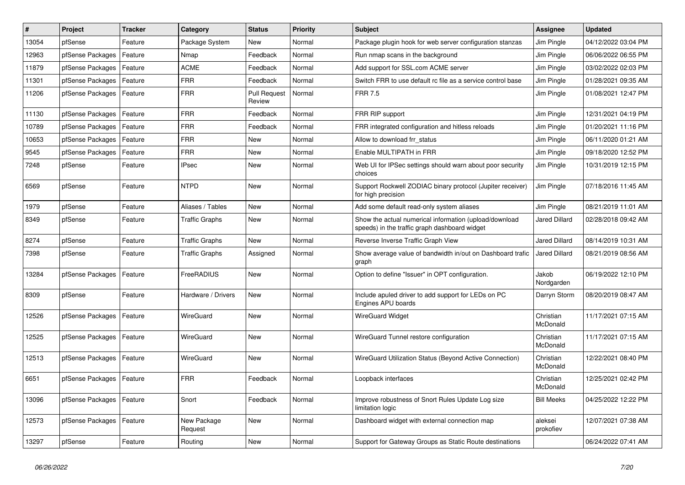| $\#$  | Project          | <b>Tracker</b> | Category               | <b>Status</b>                 | Priority | <b>Subject</b>                                                                                          | Assignee              | <b>Updated</b>      |
|-------|------------------|----------------|------------------------|-------------------------------|----------|---------------------------------------------------------------------------------------------------------|-----------------------|---------------------|
| 13054 | pfSense          | Feature        | Package System         | <b>New</b>                    | Normal   | Package plugin hook for web server configuration stanzas                                                | Jim Pingle            | 04/12/2022 03:04 PM |
| 12963 | pfSense Packages | Feature        | Nmap                   | Feedback                      | Normal   | Run nmap scans in the background                                                                        | Jim Pingle            | 06/06/2022 06:55 PM |
| 11879 | pfSense Packages | Feature        | <b>ACME</b>            | Feedback                      | Normal   | Add support for SSL.com ACME server                                                                     | Jim Pingle            | 03/02/2022 02:03 PM |
| 11301 | pfSense Packages | Feature        | <b>FRR</b>             | Feedback                      | Normal   | Switch FRR to use default rc file as a service control base                                             | Jim Pingle            | 01/28/2021 09:35 AM |
| 11206 | pfSense Packages | Feature        | <b>FRR</b>             | <b>Pull Request</b><br>Review | Normal   | <b>FRR 7.5</b>                                                                                          | Jim Pingle            | 01/08/2021 12:47 PM |
| 11130 | pfSense Packages | Feature        | <b>FRR</b>             | Feedback                      | Normal   | FRR RIP support                                                                                         | Jim Pingle            | 12/31/2021 04:19 PM |
| 10789 | pfSense Packages | Feature        | <b>FRR</b>             | Feedback                      | Normal   | FRR integrated configuration and hitless reloads                                                        | Jim Pingle            | 01/20/2021 11:16 PM |
| 10653 | pfSense Packages | Feature        | <b>FRR</b>             | <b>New</b>                    | Normal   | Allow to download frr_status                                                                            | Jim Pingle            | 06/11/2020 01:21 AM |
| 9545  | pfSense Packages | Feature        | <b>FRR</b>             | <b>New</b>                    | Normal   | Enable MULTIPATH in FRR                                                                                 | Jim Pingle            | 09/18/2020 12:52 PM |
| 7248  | pfSense          | Feature        | <b>IPsec</b>           | <b>New</b>                    | Normal   | Web UI for IPSec settings should warn about poor security<br>choices                                    | Jim Pingle            | 10/31/2019 12:15 PM |
| 6569  | pfSense          | Feature        | <b>NTPD</b>            | <b>New</b>                    | Normal   | Support Rockwell ZODIAC binary protocol (Jupiter receiver)<br>for high precision                        | Jim Pingle            | 07/18/2016 11:45 AM |
| 1979  | pfSense          | Feature        | Aliases / Tables       | <b>New</b>                    | Normal   | Add some default read-only system aliases                                                               | Jim Pingle            | 08/21/2019 11:01 AM |
| 8349  | pfSense          | Feature        | <b>Traffic Graphs</b>  | <b>New</b>                    | Normal   | Show the actual numerical information (upload/download<br>speeds) in the traffic graph dashboard widget | Jared Dillard         | 02/28/2018 09:42 AM |
| 8274  | pfSense          | Feature        | <b>Traffic Graphs</b>  | <b>New</b>                    | Normal   | Reverse Inverse Traffic Graph View                                                                      | <b>Jared Dillard</b>  | 08/14/2019 10:31 AM |
| 7398  | pfSense          | Feature        | <b>Traffic Graphs</b>  | Assigned                      | Normal   | Show average value of bandwidth in/out on Dashboard trafic<br>graph                                     | <b>Jared Dillard</b>  | 08/21/2019 08:56 AM |
| 13284 | pfSense Packages | Feature        | FreeRADIUS             | <b>New</b>                    | Normal   | Option to define "Issuer" in OPT configuration.                                                         | Jakob<br>Nordgarden   | 06/19/2022 12:10 PM |
| 8309  | pfSense          | Feature        | Hardware / Drivers     | <b>New</b>                    | Normal   | Include apuled driver to add support for LEDs on PC<br>Engines APU boards                               | Darryn Storm          | 08/20/2019 08:47 AM |
| 12526 | pfSense Packages | Feature        | WireGuard              | <b>New</b>                    | Normal   | <b>WireGuard Widget</b>                                                                                 | Christian<br>McDonald | 11/17/2021 07:15 AM |
| 12525 | pfSense Packages | Feature        | WireGuard              | New                           | Normal   | WireGuard Tunnel restore configuration                                                                  | Christian<br>McDonald | 11/17/2021 07:15 AM |
| 12513 | pfSense Packages | Feature        | WireGuard              | <b>New</b>                    | Normal   | WireGuard Utilization Status (Beyond Active Connection)                                                 | Christian<br>McDonald | 12/22/2021 08:40 PM |
| 6651  | pfSense Packages | Feature        | <b>FRR</b>             | Feedback                      | Normal   | Loopback interfaces                                                                                     | Christian<br>McDonald | 12/25/2021 02:42 PM |
| 13096 | pfSense Packages | Feature        | Snort                  | Feedback                      | Normal   | Improve robustness of Snort Rules Update Log size<br>limitation logic                                   | <b>Bill Meeks</b>     | 04/25/2022 12:22 PM |
| 12573 | pfSense Packages | Feature        | New Package<br>Request | <b>New</b>                    | Normal   | Dashboard widget with external connection map                                                           | aleksei<br>prokofiev  | 12/07/2021 07:38 AM |
| 13297 | pfSense          | Feature        | Routing                | <b>New</b>                    | Normal   | Support for Gateway Groups as Static Route destinations                                                 |                       | 06/24/2022 07:41 AM |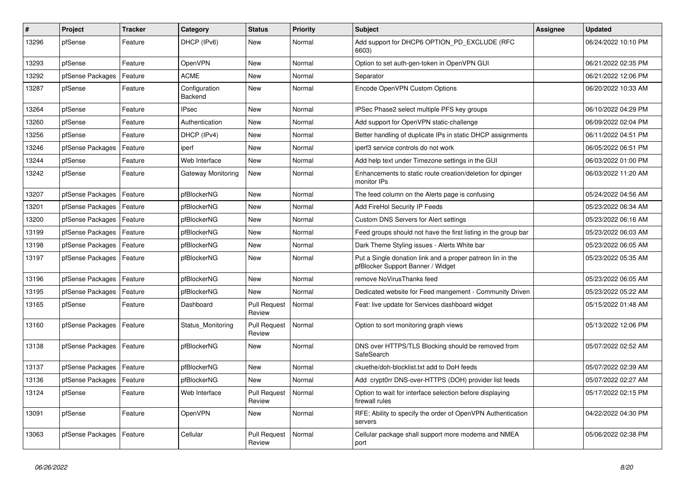| $\vert$ # | Project          | <b>Tracker</b> | Category                 | <b>Status</b>                 | <b>Priority</b> | <b>Subject</b>                                                                                  | Assignee | <b>Updated</b>      |
|-----------|------------------|----------------|--------------------------|-------------------------------|-----------------|-------------------------------------------------------------------------------------------------|----------|---------------------|
| 13296     | pfSense          | Feature        | DHCP (IPv6)              | <b>New</b>                    | Normal          | Add support for DHCP6 OPTION PD EXCLUDE (RFC<br>6603)                                           |          | 06/24/2022 10:10 PM |
| 13293     | pfSense          | Feature        | <b>OpenVPN</b>           | New                           | Normal          | Option to set auth-gen-token in OpenVPN GUI                                                     |          | 06/21/2022 02:35 PM |
| 13292     | pfSense Packages | Feature        | ACME                     | New                           | Normal          | Separator                                                                                       |          | 06/21/2022 12:06 PM |
| 13287     | pfSense          | Feature        | Configuration<br>Backend | New                           | Normal          | Encode OpenVPN Custom Options                                                                   |          | 06/20/2022 10:33 AM |
| 13264     | pfSense          | Feature        | <b>IPsec</b>             | <b>New</b>                    | Normal          | IPSec Phase2 select multiple PFS key groups                                                     |          | 06/10/2022 04:29 PM |
| 13260     | pfSense          | Feature        | Authentication           | <b>New</b>                    | Normal          | Add support for OpenVPN static-challenge                                                        |          | 06/09/2022 02:04 PM |
| 13256     | pfSense          | Feature        | DHCP (IPv4)              | <b>New</b>                    | Normal          | Better handling of duplicate IPs in static DHCP assignments                                     |          | 06/11/2022 04:51 PM |
| 13246     | pfSense Packages | Feature        | iperf                    | <b>New</b>                    | Normal          | iperf3 service controls do not work                                                             |          | 06/05/2022 06:51 PM |
| 13244     | pfSense          | Feature        | Web Interface            | <b>New</b>                    | Normal          | Add help text under Timezone settings in the GUI                                                |          | 06/03/2022 01:00 PM |
| 13242     | pfSense          | Feature        | Gateway Monitoring       | <b>New</b>                    | Normal          | Enhancements to static route creation/deletion for dpinger<br>monitor IPs                       |          | 06/03/2022 11:20 AM |
| 13207     | pfSense Packages | Feature        | pfBlockerNG              | New                           | Normal          | The feed column on the Alerts page is confusing                                                 |          | 05/24/2022 04:56 AM |
| 13201     | pfSense Packages | Feature        | pfBlockerNG              | <b>New</b>                    | Normal          | Add FireHol Security IP Feeds                                                                   |          | 05/23/2022 06:34 AM |
| 13200     | pfSense Packages | Feature        | pfBlockerNG              | New                           | Normal          | Custom DNS Servers for Alert settings                                                           |          | 05/23/2022 06:16 AM |
| 13199     | pfSense Packages | Feature        | pfBlockerNG              | New                           | Normal          | Feed groups should not have the first listing in the group bar                                  |          | 05/23/2022 06:03 AM |
| 13198     | pfSense Packages | Feature        | pfBlockerNG              | New                           | Normal          | Dark Theme Styling issues - Alerts White bar                                                    |          | 05/23/2022 06:05 AM |
| 13197     | pfSense Packages | Feature        | pfBlockerNG              | New                           | Normal          | Put a Single donation link and a proper patreon lin in the<br>pfBlocker Support Banner / Widget |          | 05/23/2022 05:35 AM |
| 13196     | pfSense Packages | Feature        | pfBlockerNG              | <b>New</b>                    | Normal          | remove NoVirusThanks feed                                                                       |          | 05/23/2022 06:05 AM |
| 13195     | pfSense Packages | Feature        | pfBlockerNG              | <b>New</b>                    | Normal          | Dedicated website for Feed mangement - Community Driven                                         |          | 05/23/2022 05:22 AM |
| 13165     | pfSense          | Feature        | Dashboard                | <b>Pull Request</b><br>Review | Normal          | Feat: live update for Services dashboard widget                                                 |          | 05/15/2022 01:48 AM |
| 13160     | pfSense Packages | Feature        | Status_Monitoring        | <b>Pull Request</b><br>Review | Normal          | Option to sort monitoring graph views                                                           |          | 05/13/2022 12:06 PM |
| 13138     | pfSense Packages | Feature        | pfBlockerNG              | <b>New</b>                    | Normal          | DNS over HTTPS/TLS Blocking should be removed from<br>SafeSearch                                |          | 05/07/2022 02:52 AM |
| 13137     | pfSense Packages | Feature        | pfBlockerNG              | New                           | Normal          | ckuethe/doh-blocklist.txt add to DoH feeds                                                      |          | 05/07/2022 02:39 AM |
| 13136     | pfSense Packages | Feature        | pfBlockerNG              | <b>New</b>                    | Normal          | Add crypt0rr DNS-over-HTTPS (DOH) provider list feeds                                           |          | 05/07/2022 02:27 AM |
| 13124     | pfSense          | Feature        | Web Interface            | <b>Pull Request</b><br>Review | Normal          | Option to wait for interface selection before displaying<br>firewall rules                      |          | 05/17/2022 02:15 PM |
| 13091     | pfSense          | Feature        | OpenVPN                  | New                           | Normal          | RFE: Ability to specify the order of OpenVPN Authentication<br>servers                          |          | 04/22/2022 04:30 PM |
| 13063     | pfSense Packages | Feature        | Cellular                 | <b>Pull Request</b><br>Review | Normal          | Cellular package shall support more modems and NMEA<br>port                                     |          | 05/06/2022 02:38 PM |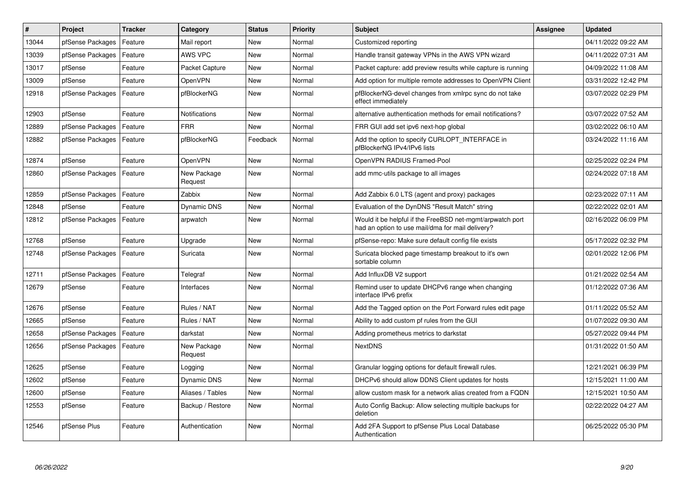| #     | Project          | <b>Tracker</b> | Category               | <b>Status</b> | <b>Priority</b> | <b>Subject</b>                                                                                                | <b>Assignee</b> | <b>Updated</b>      |
|-------|------------------|----------------|------------------------|---------------|-----------------|---------------------------------------------------------------------------------------------------------------|-----------------|---------------------|
| 13044 | pfSense Packages | Feature        | Mail report            | <b>New</b>    | Normal          | Customized reporting                                                                                          |                 | 04/11/2022 09:22 AM |
| 13039 | pfSense Packages | Feature        | AWS VPC                | New           | Normal          | Handle transit gateway VPNs in the AWS VPN wizard                                                             |                 | 04/11/2022 07:31 AM |
| 13017 | pfSense          | Feature        | Packet Capture         | New           | Normal          | Packet capture: add preview results while capture is running                                                  |                 | 04/09/2022 11:08 AM |
| 13009 | pfSense          | Feature        | <b>OpenVPN</b>         | <b>New</b>    | Normal          | Add option for multiple remote addresses to OpenVPN Client                                                    |                 | 03/31/2022 12:42 PM |
| 12918 | pfSense Packages | Feature        | pfBlockerNG            | New           | Normal          | pfBlockerNG-devel changes from xmlrpc sync do not take<br>effect immediately                                  |                 | 03/07/2022 02:29 PM |
| 12903 | pfSense          | Feature        | Notifications          | <b>New</b>    | Normal          | alternative authentication methods for email notifications?                                                   |                 | 03/07/2022 07:52 AM |
| 12889 | pfSense Packages | Feature        | <b>FRR</b>             | New           | Normal          | FRR GUI add set ipv6 next-hop global                                                                          |                 | 03/02/2022 06:10 AM |
| 12882 | pfSense Packages | Feature        | pfBlockerNG            | Feedback      | Normal          | Add the option to specify CURLOPT INTERFACE in<br>pfBlockerNG IPv4/IPv6 lists                                 |                 | 03/24/2022 11:16 AM |
| 12874 | pfSense          | Feature        | OpenVPN                | <b>New</b>    | Normal          | OpenVPN RADIUS Framed-Pool                                                                                    |                 | 02/25/2022 02:24 PM |
| 12860 | pfSense Packages | Feature        | New Package<br>Request | <b>New</b>    | Normal          | add mmc-utils package to all images                                                                           |                 | 02/24/2022 07:18 AM |
| 12859 | pfSense Packages | Feature        | Zabbix                 | <b>New</b>    | Normal          | Add Zabbix 6.0 LTS (agent and proxy) packages                                                                 |                 | 02/23/2022 07:11 AM |
| 12848 | pfSense          | Feature        | Dynamic DNS            | New           | Normal          | Evaluation of the DynDNS "Result Match" string                                                                |                 | 02/22/2022 02:01 AM |
| 12812 | pfSense Packages | Feature        | arpwatch               | <b>New</b>    | Normal          | Would it be helpful if the FreeBSD net-mgmt/arpwatch port<br>had an option to use mail/dma for mail delivery? |                 | 02/16/2022 06:09 PM |
| 12768 | pfSense          | Feature        | Upgrade                | <b>New</b>    | Normal          | pfSense-repo: Make sure default config file exists                                                            |                 | 05/17/2022 02:32 PM |
| 12748 | pfSense Packages | Feature        | Suricata               | <b>New</b>    | Normal          | Suricata blocked page timestamp breakout to it's own<br>sortable column                                       |                 | 02/01/2022 12:06 PM |
| 12711 | pfSense Packages | Feature        | Telegraf               | <b>New</b>    | Normal          | Add InfluxDB V2 support                                                                                       |                 | 01/21/2022 02:54 AM |
| 12679 | pfSense          | Feature        | Interfaces             | <b>New</b>    | Normal          | Remind user to update DHCPv6 range when changing<br>interface IPv6 prefix                                     |                 | 01/12/2022 07:36 AM |
| 12676 | pfSense          | Feature        | Rules / NAT            | <b>New</b>    | Normal          | Add the Tagged option on the Port Forward rules edit page                                                     |                 | 01/11/2022 05:52 AM |
| 12665 | pfSense          | Feature        | Rules / NAT            | <b>New</b>    | Normal          | Ability to add custom pf rules from the GUI                                                                   |                 | 01/07/2022 09:30 AM |
| 12658 | pfSense Packages | Feature        | darkstat               | New           | Normal          | Adding prometheus metrics to darkstat                                                                         |                 | 05/27/2022 09:44 PM |
| 12656 | pfSense Packages | Feature        | New Package<br>Request | New           | Normal          | <b>NextDNS</b>                                                                                                |                 | 01/31/2022 01:50 AM |
| 12625 | pfSense          | Feature        | Logging                | New           | Normal          | Granular logging options for default firewall rules.                                                          |                 | 12/21/2021 06:39 PM |
| 12602 | pfSense          | Feature        | Dynamic DNS            | New           | Normal          | DHCPv6 should allow DDNS Client updates for hosts                                                             |                 | 12/15/2021 11:00 AM |
| 12600 | pfSense          | Feature        | Aliases / Tables       | New           | Normal          | allow custom mask for a network alias created from a FQDN                                                     |                 | 12/15/2021 10:50 AM |
| 12553 | pfSense          | Feature        | Backup / Restore       | New           | Normal          | Auto Config Backup: Allow selecting multiple backups for<br>deletion                                          |                 | 02/22/2022 04:27 AM |
| 12546 | pfSense Plus     | Feature        | Authentication         | New           | Normal          | Add 2FA Support to pfSense Plus Local Database<br>Authentication                                              |                 | 06/25/2022 05:30 PM |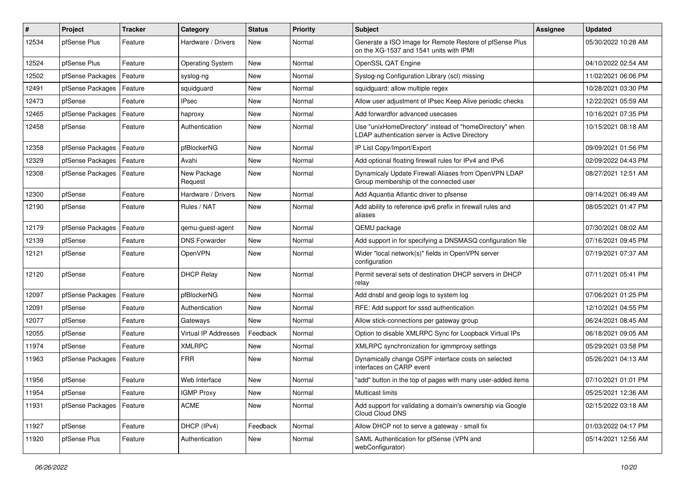| $\vert$ # | Project          | <b>Tracker</b> | Category                | <b>Status</b> | <b>Priority</b> | <b>Subject</b>                                                                                            | Assignee | <b>Updated</b>      |
|-----------|------------------|----------------|-------------------------|---------------|-----------------|-----------------------------------------------------------------------------------------------------------|----------|---------------------|
| 12534     | pfSense Plus     | Feature        | Hardware / Drivers      | New           | Normal          | Generate a ISO Image for Remote Restore of pfSense Plus<br>on the XG-1537 and 1541 units with IPMI        |          | 05/30/2022 10:28 AM |
| 12524     | pfSense Plus     | Feature        | <b>Operating System</b> | New           | Normal          | OpenSSL QAT Engine                                                                                        |          | 04/10/2022 02:54 AM |
| 12502     | pfSense Packages | Feature        | syslog-ng               | New           | Normal          | Syslog-ng Configuration Library (scl) missing                                                             |          | 11/02/2021 06:06 PM |
| 12491     | pfSense Packages | Feature        | squidguard              | <b>New</b>    | Normal          | squidguard: allow multiple regex                                                                          |          | 10/28/2021 03:30 PM |
| 12473     | pfSense          | Feature        | <b>IPsec</b>            | New           | Normal          | Allow user adjustment of IPsec Keep Alive periodic checks                                                 |          | 12/22/2021 05:59 AM |
| 12465     | pfSense Packages | Feature        | haproxy                 | New           | Normal          | Add forwardfor advanced usecases                                                                          |          | 10/16/2021 07:35 PM |
| 12458     | pfSense          | Feature        | Authentication          | New           | Normal          | Use "unixHomeDirectory" instead of "homeDirectory" when<br>LDAP authentication server is Active Directory |          | 10/15/2021 08:18 AM |
| 12358     | pfSense Packages | Feature        | pfBlockerNG             | <b>New</b>    | Normal          | IP List Copy/Import/Export                                                                                |          | 09/09/2021 01:56 PM |
| 12329     | pfSense Packages | Feature        | Avahi                   | New           | Normal          | Add optional floating firewall rules for IPv4 and IPv6                                                    |          | 02/09/2022 04:43 PM |
| 12308     | pfSense Packages | Feature        | New Package<br>Request  | New           | Normal          | Dynamicaly Update Firewall Aliases from OpenVPN LDAP<br>Group membership of the connected user            |          | 08/27/2021 12:51 AM |
| 12300     | pfSense          | Feature        | Hardware / Drivers      | New           | Normal          | Add Aquantia Atlantic driver to pfsense                                                                   |          | 09/14/2021 06:49 AM |
| 12190     | pfSense          | Feature        | Rules / NAT             | New           | Normal          | Add ability to reference ipv6 prefix in firewall rules and<br>aliases                                     |          | 08/05/2021 01:47 PM |
| 12179     | pfSense Packages | Feature        | qemu-guest-agent        | New           | Normal          | QEMU package                                                                                              |          | 07/30/2021 08:02 AM |
| 12139     | pfSense          | Feature        | <b>DNS Forwarder</b>    | New           | Normal          | Add support in for specifying a DNSMASQ configuration file                                                |          | 07/16/2021 09:45 PM |
| 12121     | pfSense          | Feature        | OpenVPN                 | New           | Normal          | Wider "local network(s)" fields in OpenVPN server<br>configuration                                        |          | 07/19/2021 07:37 AM |
| 12120     | pfSense          | Feature        | <b>DHCP Relay</b>       | New           | Normal          | Permit several sets of destination DHCP servers in DHCP<br>relay                                          |          | 07/11/2021 05:41 PM |
| 12097     | pfSense Packages | Feature        | pfBlockerNG             | New           | Normal          | Add dnsbl and geoip logs to system log                                                                    |          | 07/06/2021 01:25 PM |
| 12091     | pfSense          | Feature        | Authentication          | <b>New</b>    | Normal          | RFE: Add support for sssd authentication                                                                  |          | 12/10/2021 04:55 PM |
| 12077     | pfSense          | Feature        | Gateways                | New           | Normal          | Allow stick-connections per gateway group                                                                 |          | 06/24/2021 08:45 AM |
| 12055     | pfSense          | Feature        | Virtual IP Addresses    | Feedback      | Normal          | Option to disable XMLRPC Sync for Loopback Virtual IPs                                                    |          | 06/18/2021 09:05 AM |
| 11974     | pfSense          | Feature        | <b>XMLRPC</b>           | New           | Normal          | XMLRPC synchronization for igmmproxy settings                                                             |          | 05/29/2021 03:58 PM |
| 11963     | pfSense Packages | Feature        | <b>FRR</b>              | New           | Normal          | Dynamically change OSPF interface costs on selected<br>interfaces on CARP event                           |          | 05/26/2021 04:13 AM |
| 11956     | pfSense          | Feature        | Web Interface           | New           | Normal          | "add" button in the top of pages with many user-added items                                               |          | 07/10/2021 01:01 PM |
| 11954     | pfSense          | Feature        | <b>IGMP Proxy</b>       | New           | Normal          | Multicast limits                                                                                          |          | 05/25/2021 12:36 AM |
| 11931     | pfSense Packages | Feature        | <b>ACME</b>             | New           | Normal          | Add support for validating a domain's ownership via Google<br>Cloud Cloud DNS                             |          | 02/15/2022 03:18 AM |
| 11927     | pfSense          | Feature        | DHCP (IPv4)             | Feedback      | Normal          | Allow DHCP not to serve a gateway - small fix                                                             |          | 01/03/2022 04:17 PM |
| 11920     | pfSense Plus     | Feature        | Authentication          | New           | Normal          | SAML Authentication for pfSense (VPN and<br>webConfigurator)                                              |          | 05/14/2021 12:56 AM |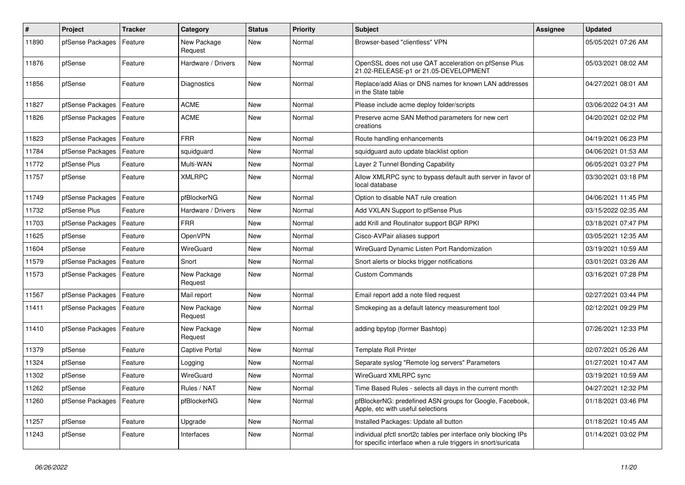| $\pmb{\#}$ | <b>Project</b>   | <b>Tracker</b> | Category               | <b>Status</b> | Priority | <b>Subject</b>                                                                                                                   | <b>Assignee</b> | <b>Updated</b>      |
|------------|------------------|----------------|------------------------|---------------|----------|----------------------------------------------------------------------------------------------------------------------------------|-----------------|---------------------|
| 11890      | pfSense Packages | Feature        | New Package<br>Request | New           | Normal   | Browser-based "clientless" VPN                                                                                                   |                 | 05/05/2021 07:26 AM |
| 11876      | pfSense          | Feature        | Hardware / Drivers     | New           | Normal   | OpenSSL does not use QAT acceleration on pfSense Plus<br>21.02-RELEASE-p1 or 21.05-DEVELOPMENT                                   |                 | 05/03/2021 08:02 AM |
| 11856      | pfSense          | Feature        | Diagnostics            | <b>New</b>    | Normal   | Replace/add Alias or DNS names for known LAN addresses<br>in the State table                                                     |                 | 04/27/2021 08:01 AM |
| 11827      | pfSense Packages | Feature        | <b>ACME</b>            | New           | Normal   | Please include acme deploy folder/scripts                                                                                        |                 | 03/06/2022 04:31 AM |
| 11826      | pfSense Packages | Feature        | <b>ACME</b>            | <b>New</b>    | Normal   | Preserve acme SAN Method parameters for new cert<br>creations                                                                    |                 | 04/20/2021 02:02 PM |
| 11823      | pfSense Packages | Feature        | <b>FRR</b>             | New           | Normal   | Route handling enhancements                                                                                                      |                 | 04/19/2021 06:23 PM |
| 11784      | pfSense Packages | Feature        | squidguard             | New           | Normal   | squidguard auto update blacklist option                                                                                          |                 | 04/06/2021 01:53 AM |
| 11772      | pfSense Plus     | Feature        | Multi-WAN              | <b>New</b>    | Normal   | Layer 2 Tunnel Bonding Capability                                                                                                |                 | 06/05/2021 03:27 PM |
| 11757      | pfSense          | Feature        | <b>XMLRPC</b>          | <b>New</b>    | Normal   | Allow XMLRPC sync to bypass default auth server in favor of<br>local database                                                    |                 | 03/30/2021 03:18 PM |
| 11749      | pfSense Packages | Feature        | pfBlockerNG            | <b>New</b>    | Normal   | Option to disable NAT rule creation                                                                                              |                 | 04/06/2021 11:45 PM |
| 11732      | pfSense Plus     | Feature        | Hardware / Drivers     | New           | Normal   | Add VXLAN Support to pfSense Plus                                                                                                |                 | 03/15/2022 02:35 AM |
| 11703      | pfSense Packages | Feature        | <b>FRR</b>             | New           | Normal   | add Krill and Routinator support BGP RPKI                                                                                        |                 | 03/18/2021 07:47 PM |
| 11625      | pfSense          | Feature        | OpenVPN                | New           | Normal   | Cisco-AVPair aliases support                                                                                                     |                 | 03/05/2021 12:35 AM |
| 11604      | pfSense          | Feature        | WireGuard              | New           | Normal   | WireGuard Dynamic Listen Port Randomization                                                                                      |                 | 03/19/2021 10:59 AM |
| 11579      | pfSense Packages | Feature        | Snort                  | <b>New</b>    | Normal   | Snort alerts or blocks trigger notifications                                                                                     |                 | 03/01/2021 03:26 AM |
| 11573      | pfSense Packages | Feature        | New Package<br>Request | <b>New</b>    | Normal   | <b>Custom Commands</b>                                                                                                           |                 | 03/16/2021 07:28 PM |
| 11567      | pfSense Packages | Feature        | Mail report            | New           | Normal   | Email report add a note filed request                                                                                            |                 | 02/27/2021 03:44 PM |
| 11411      | pfSense Packages | Feature        | New Package<br>Request | New           | Normal   | Smokeping as a default latency measurement tool                                                                                  |                 | 02/12/2021 09:29 PM |
| 11410      | pfSense Packages | Feature        | New Package<br>Request | New           | Normal   | adding bpytop (former Bashtop)                                                                                                   |                 | 07/26/2021 12:33 PM |
| 11379      | pfSense          | Feature        | Captive Portal         | <b>New</b>    | Normal   | <b>Template Roll Printer</b>                                                                                                     |                 | 02/07/2021 05:26 AM |
| 11324      | pfSense          | Feature        | Logging                | New           | Normal   | Separate syslog "Remote log servers" Parameters                                                                                  |                 | 01/27/2021 10:47 AM |
| 11302      | pfSense          | Feature        | WireGuard              | <b>New</b>    | Normal   | WireGuard XMLRPC sync                                                                                                            |                 | 03/19/2021 10:59 AM |
| 11262      | pfSense          | Feature        | Rules / NAT            | New           | Normal   | Time Based Rules - selects all days in the current month                                                                         |                 | 04/27/2021 12:32 PM |
| 11260      | pfSense Packages | Feature        | pfBlockerNG            | New           | Normal   | pfBlockerNG: predefined ASN groups for Google, Facebook,<br>Apple, etc with useful selections                                    |                 | 01/18/2021 03:46 PM |
| 11257      | pfSense          | Feature        | Upgrade                | New           | Normal   | Installed Packages: Update all button                                                                                            |                 | 01/18/2021 10:45 AM |
| 11243      | pfSense          | Feature        | Interfaces             | <b>New</b>    | Normal   | individual pfctl snort2c tables per interface only blocking IPs<br>for specific interface when a rule triggers in snort/suricata |                 | 01/14/2021 03:02 PM |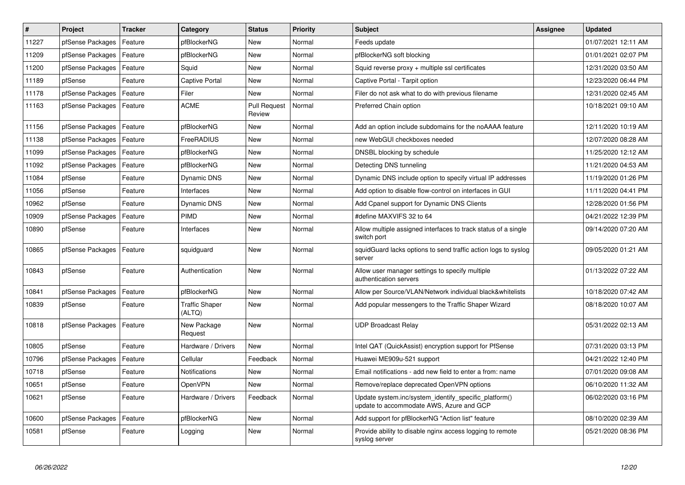| $\vert$ # | Project          | <b>Tracker</b> | Category                 | <b>Status</b>                 | <b>Priority</b> | <b>Subject</b>                                                                                    | Assignee | <b>Updated</b>      |
|-----------|------------------|----------------|--------------------------|-------------------------------|-----------------|---------------------------------------------------------------------------------------------------|----------|---------------------|
| 11227     | pfSense Packages | Feature        | pfBlockerNG              | <b>New</b>                    | Normal          | Feeds update                                                                                      |          | 01/07/2021 12:11 AM |
| 11209     | pfSense Packages | Feature        | pfBlockerNG              | New                           | Normal          | pfBlockerNG soft blocking                                                                         |          | 01/01/2021 02:07 PM |
| 11200     | pfSense Packages | Feature        | Squid                    | New                           | Normal          | Squid reverse proxy + multiple ssl certificates                                                   |          | 12/31/2020 03:50 AM |
| 11189     | pfSense          | Feature        | Captive Portal           | New                           | Normal          | Captive Portal - Tarpit option                                                                    |          | 12/23/2020 06:44 PM |
| 11178     | pfSense Packages | Feature        | Filer                    | <b>New</b>                    | Normal          | Filer do not ask what to do with previous filename                                                |          | 12/31/2020 02:45 AM |
| 11163     | pfSense Packages | Feature        | <b>ACME</b>              | <b>Pull Request</b><br>Review | Normal          | Preferred Chain option                                                                            |          | 10/18/2021 09:10 AM |
| 11156     | pfSense Packages | Feature        | pfBlockerNG              | New                           | Normal          | Add an option include subdomains for the noAAAA feature                                           |          | 12/11/2020 10:19 AM |
| 11138     | pfSense Packages | Feature        | FreeRADIUS               | <b>New</b>                    | Normal          | new WebGUI checkboxes needed                                                                      |          | 12/07/2020 08:28 AM |
| 11099     | pfSense Packages | Feature        | pfBlockerNG              | New                           | Normal          | DNSBL blocking by schedule                                                                        |          | 11/25/2020 12:12 AM |
| 11092     | pfSense Packages | Feature        | pfBlockerNG              | New                           | Normal          | Detecting DNS tunneling                                                                           |          | 11/21/2020 04:53 AM |
| 11084     | pfSense          | Feature        | Dynamic DNS              | New                           | Normal          | Dynamic DNS include option to specify virtual IP addresses                                        |          | 11/19/2020 01:26 PM |
| 11056     | pfSense          | Feature        | Interfaces               | New                           | Normal          | Add option to disable flow-control on interfaces in GUI                                           |          | 11/11/2020 04:41 PM |
| 10962     | pfSense          | Feature        | Dynamic DNS              | New                           | Normal          | Add Cpanel support for Dynamic DNS Clients                                                        |          | 12/28/2020 01:56 PM |
| 10909     | pfSense Packages | Feature        | PIMD                     | New                           | Normal          | #define MAXVIFS 32 to 64                                                                          |          | 04/21/2022 12:39 PM |
| 10890     | pfSense          | Feature        | Interfaces               | <b>New</b>                    | Normal          | Allow multiple assigned interfaces to track status of a single<br>switch port                     |          | 09/14/2020 07:20 AM |
| 10865     | pfSense Packages | Feature        | squidguard               | New                           | Normal          | squidGuard lacks options to send traffic action logs to syslog<br>server                          |          | 09/05/2020 01:21 AM |
| 10843     | pfSense          | Feature        | Authentication           | New                           | Normal          | Allow user manager settings to specify multiple<br>authentication servers                         |          | 01/13/2022 07:22 AM |
| 10841     | pfSense Packages | Feature        | pfBlockerNG              | New                           | Normal          | Allow per Source/VLAN/Network individual black&whitelists                                         |          | 10/18/2020 07:42 AM |
| 10839     | pfSense          | Feature        | Traffic Shaper<br>(ALTQ) | New                           | Normal          | Add popular messengers to the Traffic Shaper Wizard                                               |          | 08/18/2020 10:07 AM |
| 10818     | pfSense Packages | Feature        | New Package<br>Request   | <b>New</b>                    | Normal          | <b>UDP Broadcast Relay</b>                                                                        |          | 05/31/2022 02:13 AM |
| 10805     | pfSense          | Feature        | Hardware / Drivers       | New                           | Normal          | Intel QAT (QuickAssist) encryption support for PfSense                                            |          | 07/31/2020 03:13 PM |
| 10796     | pfSense Packages | Feature        | Cellular                 | Feedback                      | Normal          | Huawei ME909u-521 support                                                                         |          | 04/21/2022 12:40 PM |
| 10718     | pfSense          | Feature        | Notifications            | New                           | Normal          | Email notifications - add new field to enter a from: name                                         |          | 07/01/2020 09:08 AM |
| 10651     | pfSense          | Feature        | OpenVPN                  | New                           | Normal          | Remove/replace deprecated OpenVPN options                                                         |          | 06/10/2020 11:32 AM |
| 10621     | pfSense          | Feature        | Hardware / Drivers       | Feedback                      | Normal          | Update system.inc/system identify specific platform()<br>update to accommodate AWS, Azure and GCP |          | 06/02/2020 03:16 PM |
| 10600     | pfSense Packages | Feature        | pfBlockerNG              | New                           | Normal          | Add support for pfBlockerNG "Action list" feature                                                 |          | 08/10/2020 02:39 AM |
| 10581     | pfSense          | Feature        | Logging                  | <b>New</b>                    | Normal          | Provide ability to disable nginx access logging to remote<br>syslog server                        |          | 05/21/2020 08:36 PM |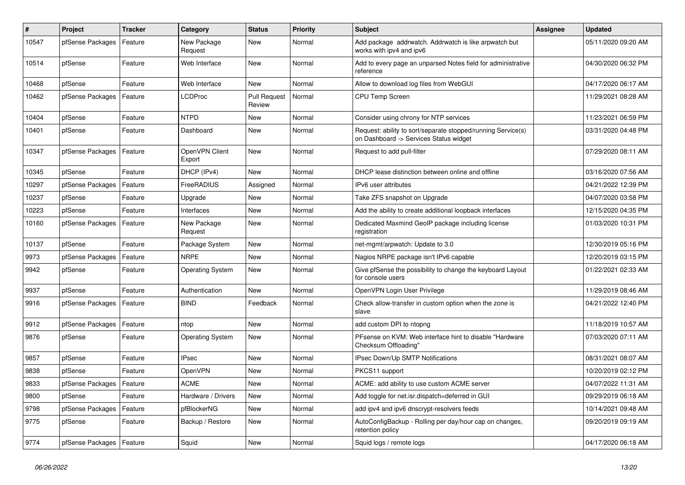| $\sharp$ | <b>Project</b>             | <b>Tracker</b> | Category                 | <b>Status</b>                 | <b>Priority</b> | <b>Subject</b>                                                                                         | <b>Assignee</b> | <b>Updated</b>      |
|----------|----------------------------|----------------|--------------------------|-------------------------------|-----------------|--------------------------------------------------------------------------------------------------------|-----------------|---------------------|
| 10547    | pfSense Packages           | Feature        | New Package<br>Request   | New                           | Normal          | Add package addrwatch. Addrwatch is like arpwatch but<br>works with ipv4 and ipv6                      |                 | 05/11/2020 09:20 AM |
| 10514    | pfSense                    | Feature        | Web Interface            | <b>New</b>                    | Normal          | Add to every page an unparsed Notes field for administrative<br>reference                              |                 | 04/30/2020 06:32 PM |
| 10468    | pfSense                    | Feature        | Web Interface            | <b>New</b>                    | Normal          | Allow to download log files from WebGUI                                                                |                 | 04/17/2020 06:17 AM |
| 10462    | pfSense Packages           | Feature        | <b>LCDProc</b>           | <b>Pull Request</b><br>Review | Normal          | <b>CPU Temp Screen</b>                                                                                 |                 | 11/29/2021 08:28 AM |
| 10404    | pfSense                    | Feature        | <b>NTPD</b>              | <b>New</b>                    | Normal          | Consider using chrony for NTP services                                                                 |                 | 11/23/2021 06:59 PM |
| 10401    | pfSense                    | Feature        | Dashboard                | <b>New</b>                    | Normal          | Request: ability to sort/separate stopped/running Service(s)<br>on Dashboard -> Services Status widget |                 | 03/31/2020 04:48 PM |
| 10347    | pfSense Packages           | Feature        | OpenVPN Client<br>Export | <b>New</b>                    | Normal          | Request to add pull-filter                                                                             |                 | 07/29/2020 08:11 AM |
| 10345    | pfSense                    | Feature        | DHCP (IPv4)              | <b>New</b>                    | Normal          | DHCP lease distinction between online and offline                                                      |                 | 03/16/2020 07:56 AM |
| 10297    | pfSense Packages           | Feature        | FreeRADIUS               | Assigned                      | Normal          | IPv6 user attributes                                                                                   |                 | 04/21/2022 12:39 PM |
| 10237    | pfSense                    | Feature        | Upgrade                  | New                           | Normal          | Take ZFS snapshot on Upgrade                                                                           |                 | 04/07/2020 03:58 PM |
| 10223    | pfSense                    | Feature        | Interfaces               | New                           | Normal          | Add the ability to create additional loopback interfaces                                               |                 | 12/15/2020 04:35 PM |
| 10160    | pfSense Packages           | Feature        | New Package<br>Request   | <b>New</b>                    | Normal          | Dedicated Maxmind GeoIP package including license<br>registration                                      |                 | 01/03/2020 10:31 PM |
| 10137    | pfSense                    | Feature        | Package System           | New                           | Normal          | net-mgmt/arpwatch: Update to 3.0                                                                       |                 | 12/30/2019 05:16 PM |
| 9973     | pfSense Packages           | Feature        | <b>NRPE</b>              | New                           | Normal          | Nagios NRPE package isn't IPv6 capable                                                                 |                 | 12/20/2019 03:15 PM |
| 9942     | pfSense                    | Feature        | <b>Operating System</b>  | New                           | Normal          | Give pfSense the possibility to change the keyboard Layout<br>for console users                        |                 | 01/22/2021 02:33 AM |
| 9937     | pfSense                    | Feature        | Authentication           | <b>New</b>                    | Normal          | OpenVPN Login User Privilege                                                                           |                 | 11/29/2019 08:46 AM |
| 9916     | pfSense Packages           | Feature        | <b>BIND</b>              | Feedback                      | Normal          | Check allow-transfer in custom option when the zone is<br>slave                                        |                 | 04/21/2022 12:40 PM |
| 9912     | pfSense Packages           | Feature        | ntop                     | New                           | Normal          | add custom DPI to ntopng                                                                               |                 | 11/18/2019 10:57 AM |
| 9876     | pfSense                    | Feature        | <b>Operating System</b>  | New                           | Normal          | PFsense on KVM: Web interface hint to disable "Hardware<br>Checksum Offloading"                        |                 | 07/03/2020 07:11 AM |
| 9857     | pfSense                    | Feature        | <b>IPsec</b>             | <b>New</b>                    | Normal          | IPsec Down/Up SMTP Notifications                                                                       |                 | 08/31/2021 08:07 AM |
| 9838     | pfSense                    | Feature        | OpenVPN                  | <b>New</b>                    | Normal          | PKCS11 support                                                                                         |                 | 10/20/2019 02:12 PM |
| 9833     | pfSense Packages           | Feature        | <b>ACME</b>              | <b>New</b>                    | Normal          | ACME: add ability to use custom ACME server                                                            |                 | 04/07/2022 11:31 AM |
| 9800     | pfSense                    | Feature        | Hardware / Drivers       | New                           | Normal          | Add toggle for net.isr.dispatch=deferred in GUI                                                        |                 | 09/29/2019 06:18 AM |
| 9798     | pfSense Packages           | Feature        | pfBlockerNG              | <b>New</b>                    | Normal          | add ipv4 and ipv6 dnscrypt-resolvers feeds                                                             |                 | 10/14/2021 09:48 AM |
| 9775     | pfSense                    | Feature        | Backup / Restore         | <b>New</b>                    | Normal          | AutoConfigBackup - Rolling per day/hour cap on changes,<br>retention policy                            |                 | 09/20/2019 09:19 AM |
| 9774     | pfSense Packages   Feature |                | Squid                    | <b>New</b>                    | Normal          | Squid logs / remote logs                                                                               |                 | 04/17/2020 06:18 AM |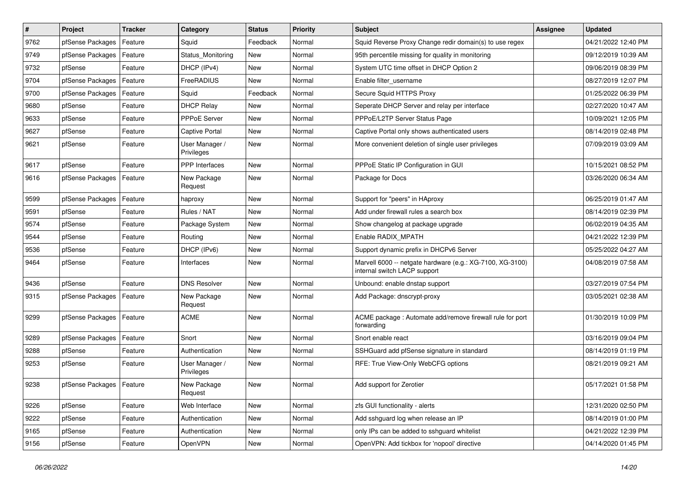| $\sharp$ | Project                    | <b>Tracker</b> | Category                     | <b>Status</b> | <b>Priority</b> | <b>Subject</b>                                                                            | Assignee | <b>Updated</b>      |
|----------|----------------------------|----------------|------------------------------|---------------|-----------------|-------------------------------------------------------------------------------------------|----------|---------------------|
| 9762     | pfSense Packages           | Feature        | Squid                        | Feedback      | Normal          | Squid Reverse Proxy Change redir domain(s) to use regex                                   |          | 04/21/2022 12:40 PM |
| 9749     | pfSense Packages           | Feature        | Status Monitoring            | <b>New</b>    | Normal          | 95th percentile missing for quality in monitoring                                         |          | 09/12/2019 10:39 AM |
| 9732     | pfSense                    | Feature        | DHCP (IPv4)                  | <b>New</b>    | Normal          | System UTC time offset in DHCP Option 2                                                   |          | 09/06/2019 08:39 PM |
| 9704     | pfSense Packages           | Feature        | FreeRADIUS                   | <b>New</b>    | Normal          | Enable filter_username                                                                    |          | 08/27/2019 12:07 PM |
| 9700     | pfSense Packages           | Feature        | Squid                        | Feedback      | Normal          | Secure Squid HTTPS Proxy                                                                  |          | 01/25/2022 06:39 PM |
| 9680     | pfSense                    | Feature        | <b>DHCP Relay</b>            | New           | Normal          | Seperate DHCP Server and relay per interface                                              |          | 02/27/2020 10:47 AM |
| 9633     | pfSense                    | Feature        | PPPoE Server                 | New           | Normal          | PPPoE/L2TP Server Status Page                                                             |          | 10/09/2021 12:05 PM |
| 9627     | pfSense                    | Feature        | <b>Captive Portal</b>        | <b>New</b>    | Normal          | Captive Portal only shows authenticated users                                             |          | 08/14/2019 02:48 PM |
| 9621     | pfSense                    | Feature        | User Manager /<br>Privileges | <b>New</b>    | Normal          | More convenient deletion of single user privileges                                        |          | 07/09/2019 03:09 AM |
| 9617     | pfSense                    | Feature        | PPP Interfaces               | <b>New</b>    | Normal          | PPPoE Static IP Configuration in GUI                                                      |          | 10/15/2021 08:52 PM |
| 9616     | pfSense Packages           | Feature        | New Package<br>Request       | <b>New</b>    | Normal          | Package for Docs                                                                          |          | 03/26/2020 06:34 AM |
| 9599     | pfSense Packages           | Feature        | haproxy                      | <b>New</b>    | Normal          | Support for "peers" in HAproxy                                                            |          | 06/25/2019 01:47 AM |
| 9591     | pfSense                    | Feature        | Rules / NAT                  | <b>New</b>    | Normal          | Add under firewall rules a search box                                                     |          | 08/14/2019 02:39 PM |
| 9574     | pfSense                    | Feature        | Package System               | <b>New</b>    | Normal          | Show changelog at package upgrade                                                         |          | 06/02/2019 04:35 AM |
| 9544     | pfSense                    | Feature        | Routing                      | <b>New</b>    | Normal          | Enable RADIX MPATH                                                                        |          | 04/21/2022 12:39 PM |
| 9536     | pfSense                    | Feature        | DHCP (IPv6)                  | <b>New</b>    | Normal          | Support dynamic prefix in DHCPv6 Server                                                   |          | 05/25/2022 04:27 AM |
| 9464     | pfSense                    | Feature        | Interfaces                   | New           | Normal          | Marvell 6000 -- netgate hardware (e.g.: XG-7100, XG-3100)<br>internal switch LACP support |          | 04/08/2019 07:58 AM |
| 9436     | pfSense                    | Feature        | <b>DNS Resolver</b>          | New           | Normal          | Unbound: enable dnstap support                                                            |          | 03/27/2019 07:54 PM |
| 9315     | pfSense Packages           | Feature        | New Package<br>Request       | New           | Normal          | Add Package: dnscrypt-proxy                                                               |          | 03/05/2021 02:38 AM |
| 9299     | pfSense Packages           | Feature        | <b>ACME</b>                  | <b>New</b>    | Normal          | ACME package: Automate add/remove firewall rule for port<br>forwarding                    |          | 01/30/2019 10:09 PM |
| 9289     | pfSense Packages           | Feature        | Snort                        | <b>New</b>    | Normal          | Snort enable react                                                                        |          | 03/16/2019 09:04 PM |
| 9288     | pfSense                    | Feature        | Authentication               | New           | Normal          | SSHGuard add pfSense signature in standard                                                |          | 08/14/2019 01:19 PM |
| 9253     | pfSense                    | Feature        | User Manager /<br>Privileges | New           | Normal          | RFE: True View-Only WebCFG options                                                        |          | 08/21/2019 09:21 AM |
| 9238     | pfSense Packages   Feature |                | New Package<br>Request       | New           | Normal          | Add support for Zerotier                                                                  |          | 05/17/2021 01:58 PM |
| 9226     | pfSense                    | Feature        | Web Interface                | New           | Normal          | zfs GUI functionality - alerts                                                            |          | 12/31/2020 02:50 PM |
| 9222     | pfSense                    | Feature        | Authentication               | New           | Normal          | Add sshguard log when release an IP                                                       |          | 08/14/2019 01:00 PM |
| 9165     | pfSense                    | Feature        | Authentication               | New           | Normal          | only IPs can be added to sshguard whitelist                                               |          | 04/21/2022 12:39 PM |
| 9156     | pfSense                    | Feature        | OpenVPN                      | New           | Normal          | OpenVPN: Add tickbox for 'nopool' directive                                               |          | 04/14/2020 01:45 PM |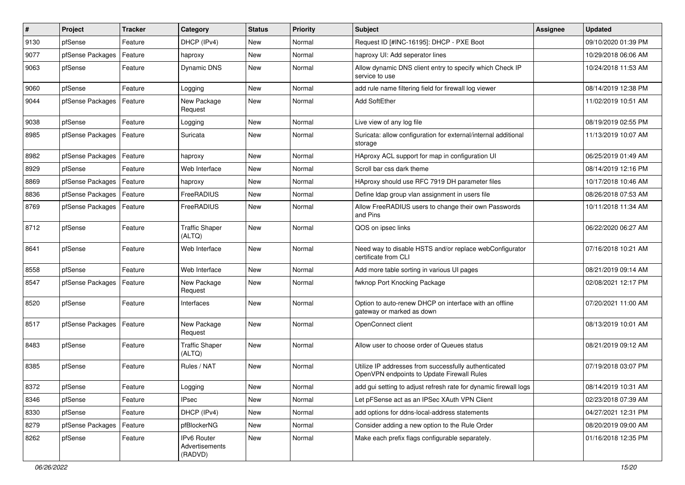| $\pmb{\#}$ | Project          | <b>Tracker</b> | Category                                 | <b>Status</b> | <b>Priority</b> | <b>Subject</b>                                                                                     | Assignee | <b>Updated</b>      |
|------------|------------------|----------------|------------------------------------------|---------------|-----------------|----------------------------------------------------------------------------------------------------|----------|---------------------|
| 9130       | pfSense          | Feature        | DHCP (IPv4)                              | <b>New</b>    | Normal          | Request ID [#INC-16195]: DHCP - PXE Boot                                                           |          | 09/10/2020 01:39 PM |
| 9077       | pfSense Packages | Feature        | haproxy                                  | <b>New</b>    | Normal          | haproxy UI: Add seperator lines                                                                    |          | 10/29/2018 06:06 AM |
| 9063       | pfSense          | Feature        | <b>Dynamic DNS</b>                       | <b>New</b>    | Normal          | Allow dynamic DNS client entry to specify which Check IP<br>service to use                         |          | 10/24/2018 11:53 AM |
| 9060       | pfSense          | Feature        | Logging                                  | New           | Normal          | add rule name filtering field for firewall log viewer                                              |          | 08/14/2019 12:38 PM |
| 9044       | pfSense Packages | Feature        | New Package<br>Request                   | <b>New</b>    | Normal          | Add SoftEther                                                                                      |          | 11/02/2019 10:51 AM |
| 9038       | pfSense          | Feature        | Logging                                  | <b>New</b>    | Normal          | Live view of any log file                                                                          |          | 08/19/2019 02:55 PM |
| 8985       | pfSense Packages | Feature        | Suricata                                 | <b>New</b>    | Normal          | Suricata: allow configuration for external/internal additional<br>storage                          |          | 11/13/2019 10:07 AM |
| 8982       | pfSense Packages | Feature        | haproxy                                  | <b>New</b>    | Normal          | HAproxy ACL support for map in configuration UI                                                    |          | 06/25/2019 01:49 AM |
| 8929       | pfSense          | Feature        | Web Interface                            | <b>New</b>    | Normal          | Scroll bar css dark theme                                                                          |          | 08/14/2019 12:16 PM |
| 8869       | pfSense Packages | Feature        | haproxy                                  | <b>New</b>    | Normal          | HAproxy should use RFC 7919 DH parameter files                                                     |          | 10/17/2018 10:46 AM |
| 8836       | pfSense Packages | Feature        | FreeRADIUS                               | New           | Normal          | Define Idap group vlan assignment in users file                                                    |          | 08/26/2018 07:53 AM |
| 8769       | pfSense Packages | Feature        | FreeRADIUS                               | New           | Normal          | Allow FreeRADIUS users to change their own Passwords<br>and Pins                                   |          | 10/11/2018 11:34 AM |
| 8712       | pfSense          | Feature        | <b>Traffic Shaper</b><br>(ALTQ)          | <b>New</b>    | Normal          | QOS on ipsec links                                                                                 |          | 06/22/2020 06:27 AM |
| 8641       | pfSense          | Feature        | Web Interface                            | <b>New</b>    | Normal          | Need way to disable HSTS and/or replace webConfigurator<br>certificate from CLI                    |          | 07/16/2018 10:21 AM |
| 8558       | pfSense          | Feature        | Web Interface                            | New           | Normal          | Add more table sorting in various UI pages                                                         |          | 08/21/2019 09:14 AM |
| 8547       | pfSense Packages | Feature        | New Package<br>Request                   | <b>New</b>    | Normal          | fwknop Port Knocking Package                                                                       |          | 02/08/2021 12:17 PM |
| 8520       | pfSense          | Feature        | Interfaces                               | New           | Normal          | Option to auto-renew DHCP on interface with an offline<br>gateway or marked as down                |          | 07/20/2021 11:00 AM |
| 8517       | pfSense Packages | Feature        | New Package<br>Request                   | <b>New</b>    | Normal          | OpenConnect client                                                                                 |          | 08/13/2019 10:01 AM |
| 8483       | pfSense          | Feature        | <b>Traffic Shaper</b><br>(ALTQ)          | <b>New</b>    | Normal          | Allow user to choose order of Queues status                                                        |          | 08/21/2019 09:12 AM |
| 8385       | pfSense          | Feature        | Rules / NAT                              | New           | Normal          | Utilize IP addresses from successfully authenticated<br>OpenVPN endpoints to Update Firewall Rules |          | 07/19/2018 03:07 PM |
| 8372       | pfSense          | Feature        | Logging                                  | New           | Normal          | add gui setting to adjust refresh rate for dynamic firewall logs                                   |          | 08/14/2019 10:31 AM |
| 8346       | pfSense          | Feature        | <b>IPsec</b>                             | New           | Normal          | Let pFSense act as an IPSec XAuth VPN Client                                                       |          | 02/23/2018 07:39 AM |
| 8330       | pfSense          | Feature        | DHCP (IPv4)                              | New           | Normal          | add options for ddns-local-address statements                                                      |          | 04/27/2021 12:31 PM |
| 8279       | pfSense Packages | Feature        | pfBlockerNG                              | New           | Normal          | Consider adding a new option to the Rule Order                                                     |          | 08/20/2019 09:00 AM |
| 8262       | pfSense          | Feature        | IPv6 Router<br>Advertisements<br>(RADVD) | New           | Normal          | Make each prefix flags configurable separately.                                                    |          | 01/16/2018 12:35 PM |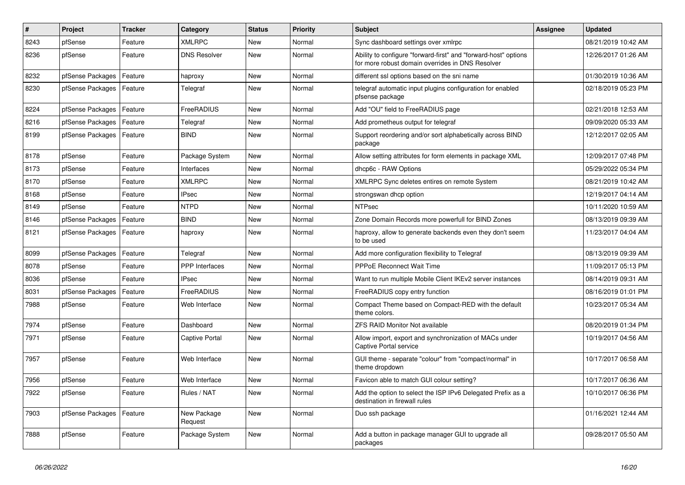| #    | Project          | <b>Tracker</b> | Category               | <b>Status</b> | Priority | <b>Subject</b>                                                                                                      | <b>Assignee</b> | <b>Updated</b>      |
|------|------------------|----------------|------------------------|---------------|----------|---------------------------------------------------------------------------------------------------------------------|-----------------|---------------------|
| 8243 | pfSense          | Feature        | <b>XMLRPC</b>          | <b>New</b>    | Normal   | Sync dashboard settings over xmlrpc                                                                                 |                 | 08/21/2019 10:42 AM |
| 8236 | pfSense          | Feature        | <b>DNS Resolver</b>    | <b>New</b>    | Normal   | Ability to configure "forward-first" and "forward-host" options<br>for more robust domain overrides in DNS Resolver |                 | 12/26/2017 01:26 AM |
| 8232 | pfSense Packages | Feature        | haproxy                | New           | Normal   | different ssl options based on the sni name                                                                         |                 | 01/30/2019 10:36 AM |
| 8230 | pfSense Packages | Feature        | Telegraf               | New           | Normal   | telegraf automatic input plugins configuration for enabled<br>pfsense package                                       |                 | 02/18/2019 05:23 PM |
| 8224 | pfSense Packages | Feature        | FreeRADIUS             | <b>New</b>    | Normal   | Add "OU" field to FreeRADIUS page                                                                                   |                 | 02/21/2018 12:53 AM |
| 8216 | pfSense Packages | Feature        | Telegraf               | New           | Normal   | Add prometheus output for telegraf                                                                                  |                 | 09/09/2020 05:33 AM |
| 8199 | pfSense Packages | Feature        | <b>BIND</b>            | New           | Normal   | Support reordering and/or sort alphabetically across BIND<br>package                                                |                 | 12/12/2017 02:05 AM |
| 8178 | pfSense          | Feature        | Package System         | New           | Normal   | Allow setting attributes for form elements in package XML                                                           |                 | 12/09/2017 07:48 PM |
| 8173 | pfSense          | Feature        | Interfaces             | New           | Normal   | dhcp6c - RAW Options                                                                                                |                 | 05/29/2022 05:34 PM |
| 8170 | pfSense          | Feature        | <b>XMLRPC</b>          | <b>New</b>    | Normal   | XMLRPC Sync deletes entires on remote System                                                                        |                 | 08/21/2019 10:42 AM |
| 8168 | pfSense          | Feature        | <b>IPsec</b>           | <b>New</b>    | Normal   | strongswan dhcp option                                                                                              |                 | 12/19/2017 04:14 AM |
| 8149 | pfSense          | Feature        | <b>NTPD</b>            | New           | Normal   | <b>NTPsec</b>                                                                                                       |                 | 10/11/2020 10:59 AM |
| 8146 | pfSense Packages | Feature        | <b>BIND</b>            | New           | Normal   | Zone Domain Records more powerfull for BIND Zones                                                                   |                 | 08/13/2019 09:39 AM |
| 8121 | pfSense Packages | Feature        | haproxy                | New           | Normal   | haproxy, allow to generate backends even they don't seem<br>to be used                                              |                 | 11/23/2017 04:04 AM |
| 8099 | pfSense Packages | Feature        | Telegraf               | New           | Normal   | Add more configuration flexibility to Telegraf                                                                      |                 | 08/13/2019 09:39 AM |
| 8078 | pfSense          | Feature        | <b>PPP</b> Interfaces  | New           | Normal   | <b>PPPoE Reconnect Wait Time</b>                                                                                    |                 | 11/09/2017 05:13 PM |
| 8036 | pfSense          | Feature        | <b>IPsec</b>           | New           | Normal   | Want to run multiple Mobile Client IKEv2 server instances                                                           |                 | 08/14/2019 09:31 AM |
| 8031 | pfSense Packages | Feature        | FreeRADIUS             | <b>New</b>    | Normal   | FreeRADIUS copy entry function                                                                                      |                 | 08/16/2019 01:01 PM |
| 7988 | pfSense          | Feature        | Web Interface          | New           | Normal   | Compact Theme based on Compact-RED with the default<br>theme colors.                                                |                 | 10/23/2017 05:34 AM |
| 7974 | pfSense          | Feature        | Dashboard              | New           | Normal   | <b>ZFS RAID Monitor Not available</b>                                                                               |                 | 08/20/2019 01:34 PM |
| 7971 | pfSense          | Feature        | Captive Portal         | New           | Normal   | Allow import, export and synchronization of MACs under<br>Captive Portal service                                    |                 | 10/19/2017 04:56 AM |
| 7957 | pfSense          | Feature        | Web Interface          | <b>New</b>    | Normal   | GUI theme - separate "colour" from "compact/normal" in<br>theme dropdown                                            |                 | 10/17/2017 06:58 AM |
| 7956 | pfSense          | Feature        | Web Interface          | New           | Normal   | Favicon able to match GUI colour setting?                                                                           |                 | 10/17/2017 06:36 AM |
| 7922 | pfSense          | Feature        | Rules / NAT            | New           | Normal   | Add the option to select the ISP IPv6 Delegated Prefix as a<br>destination in firewall rules                        |                 | 10/10/2017 06:36 PM |
| 7903 | pfSense Packages | Feature        | New Package<br>Request | <b>New</b>    | Normal   | Duo ssh package                                                                                                     |                 | 01/16/2021 12:44 AM |
| 7888 | pfSense          | Feature        | Package System         | New           | Normal   | Add a button in package manager GUI to upgrade all<br>packages                                                      |                 | 09/28/2017 05:50 AM |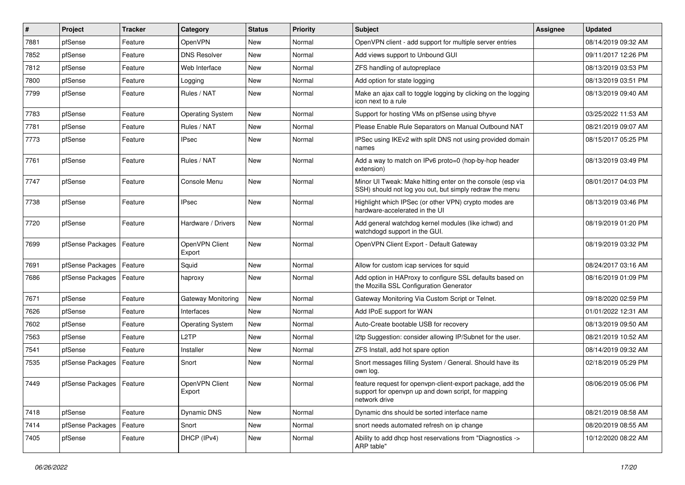| $\vert$ # | Project                    | <b>Tracker</b> | Category                 | <b>Status</b> | <b>Priority</b> | <b>Subject</b>                                                                                                                     | Assignee | <b>Updated</b>      |
|-----------|----------------------------|----------------|--------------------------|---------------|-----------------|------------------------------------------------------------------------------------------------------------------------------------|----------|---------------------|
| 7881      | pfSense                    | Feature        | OpenVPN                  | New           | Normal          | OpenVPN client - add support for multiple server entries                                                                           |          | 08/14/2019 09:32 AM |
| 7852      | pfSense                    | Feature        | <b>DNS Resolver</b>      | New           | Normal          | Add views support to Unbound GUI                                                                                                   |          | 09/11/2017 12:26 PM |
| 7812      | pfSense                    | Feature        | Web Interface            | New           | Normal          | ZFS handling of autopreplace                                                                                                       |          | 08/13/2019 03:53 PM |
| 7800      | pfSense                    | Feature        | Logging                  | New           | Normal          | Add option for state logging                                                                                                       |          | 08/13/2019 03:51 PM |
| 7799      | pfSense                    | Feature        | Rules / NAT              | <b>New</b>    | Normal          | Make an ajax call to toggle logging by clicking on the logging<br>icon next to a rule                                              |          | 08/13/2019 09:40 AM |
| 7783      | pfSense                    | Feature        | Operating System         | <b>New</b>    | Normal          | Support for hosting VMs on pfSense using bhyve                                                                                     |          | 03/25/2022 11:53 AM |
| 7781      | pfSense                    | Feature        | Rules / NAT              | <b>New</b>    | Normal          | Please Enable Rule Separators on Manual Outbound NAT                                                                               |          | 08/21/2019 09:07 AM |
| 7773      | pfSense                    | Feature        | <b>IPsec</b>             | New           | Normal          | IPSec using IKEv2 with split DNS not using provided domain<br>names                                                                |          | 08/15/2017 05:25 PM |
| 7761      | pfSense                    | Feature        | Rules / NAT              | New           | Normal          | Add a way to match on IPv6 proto=0 (hop-by-hop header<br>extension)                                                                |          | 08/13/2019 03:49 PM |
| 7747      | pfSense                    | Feature        | Console Menu             | <b>New</b>    | Normal          | Minor UI Tweak: Make hitting enter on the console (esp via<br>SSH) should not log you out, but simply redraw the menu              |          | 08/01/2017 04:03 PM |
| 7738      | pfSense                    | Feature        | <b>IPsec</b>             | <b>New</b>    | Normal          | Highlight which IPSec (or other VPN) crypto modes are<br>hardware-accelerated in the UI                                            |          | 08/13/2019 03:46 PM |
| 7720      | pfSense                    | Feature        | Hardware / Drivers       | New           | Normal          | Add general watchdog kernel modules (like ichwd) and<br>watchdogd support in the GUI.                                              |          | 08/19/2019 01:20 PM |
| 7699      | pfSense Packages           | Feature        | OpenVPN Client<br>Export | New           | Normal          | OpenVPN Client Export - Default Gateway                                                                                            |          | 08/19/2019 03:32 PM |
| 7691      | pfSense Packages           | Feature        | Squid                    | <b>New</b>    | Normal          | Allow for custom icap services for squid                                                                                           |          | 08/24/2017 03:16 AM |
| 7686      | pfSense Packages           | Feature        | haproxy                  | New           | Normal          | Add option in HAProxy to configure SSL defaults based on<br>the Mozilla SSL Configuration Generator                                |          | 08/16/2019 01:09 PM |
| 7671      | pfSense                    | Feature        | Gateway Monitoring       | <b>New</b>    | Normal          | Gateway Monitoring Via Custom Script or Telnet.                                                                                    |          | 09/18/2020 02:59 PM |
| 7626      | pfSense                    | Feature        | Interfaces               | New           | Normal          | Add IPoE support for WAN                                                                                                           |          | 01/01/2022 12:31 AM |
| 7602      | pfSense                    | Feature        | Operating System         | New           | Normal          | Auto-Create bootable USB for recovery                                                                                              |          | 08/13/2019 09:50 AM |
| 7563      | pfSense                    | Feature        | L <sub>2</sub> TP        | <b>New</b>    | Normal          | I2tp Suggestion: consider allowing IP/Subnet for the user.                                                                         |          | 08/21/2019 10:52 AM |
| 7541      | pfSense                    | Feature        | Installer                | New           | Normal          | ZFS Install, add hot spare option                                                                                                  |          | 08/14/2019 09:32 AM |
| 7535      | pfSense Packages           | Feature        | Snort                    | New           | Normal          | Snort messages filling System / General. Should have its<br>own log.                                                               |          | 02/18/2019 05:29 PM |
| 7449      | pfSense Packages   Feature |                | OpenVPN Client<br>Export | New           | Normal          | feature request for openypn-client-export package, add the<br>support for openvpn up and down script, for mapping<br>network drive |          | 08/06/2019 05:06 PM |
| 7418      | pfSense                    | Feature        | Dynamic DNS              | New           | Normal          | Dynamic dns should be sorted interface name                                                                                        |          | 08/21/2019 08:58 AM |
| 7414      | pfSense Packages           | Feature        | Snort                    | New           | Normal          | snort needs automated refresh on ip change                                                                                         |          | 08/20/2019 08:55 AM |
| 7405      | pfSense                    | Feature        | DHCP (IPv4)              | New           | Normal          | Ability to add dhcp host reservations from "Diagnostics -><br>ARP table"                                                           |          | 10/12/2020 08:22 AM |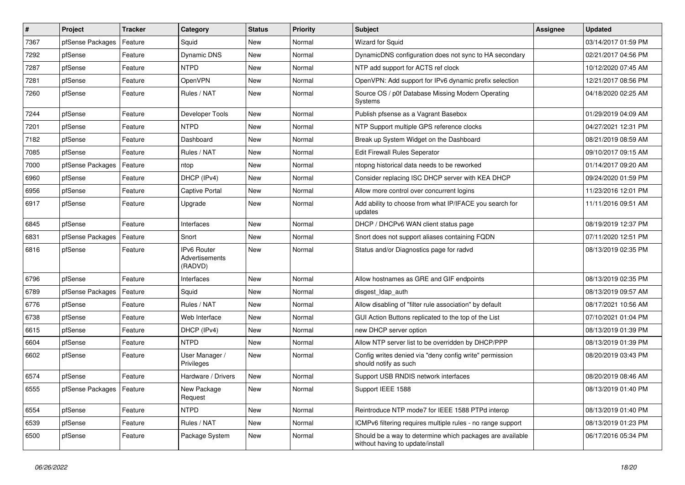| $\vert$ # | Project                    | <b>Tracker</b> | Category                                 | <b>Status</b> | <b>Priority</b> | <b>Subject</b>                                                                                | Assignee | <b>Updated</b>      |
|-----------|----------------------------|----------------|------------------------------------------|---------------|-----------------|-----------------------------------------------------------------------------------------------|----------|---------------------|
| 7367      | pfSense Packages           | Feature        | Squid                                    | New           | Normal          | Wizard for Squid                                                                              |          | 03/14/2017 01:59 PM |
| 7292      | pfSense                    | Feature        | Dynamic DNS                              | New           | Normal          | DynamicDNS configuration does not sync to HA secondary                                        |          | 02/21/2017 04:56 PM |
| 7287      | pfSense                    | Feature        | NTPD                                     | New           | Normal          | NTP add support for ACTS ref clock                                                            |          | 10/12/2020 07:45 AM |
| 7281      | pfSense                    | Feature        | OpenVPN                                  | New           | Normal          | OpenVPN: Add support for IPv6 dynamic prefix selection                                        |          | 12/21/2017 08:56 PM |
| 7260      | pfSense                    | Feature        | Rules / NAT                              | <b>New</b>    | Normal          | Source OS / p0f Database Missing Modern Operating<br>Systems                                  |          | 04/18/2020 02:25 AM |
| 7244      | pfSense                    | Feature        | Developer Tools                          | <b>New</b>    | Normal          | Publish pfsense as a Vagrant Basebox                                                          |          | 01/29/2019 04:09 AM |
| 7201      | pfSense                    | Feature        | <b>NTPD</b>                              | <b>New</b>    | Normal          | NTP Support multiple GPS reference clocks                                                     |          | 04/27/2021 12:31 PM |
| 7182      | pfSense                    | Feature        | Dashboard                                | New           | Normal          | Break up System Widget on the Dashboard                                                       |          | 08/21/2019 08:59 AM |
| 7085      | pfSense                    | Feature        | Rules / NAT                              | <b>New</b>    | Normal          | Edit Firewall Rules Seperator                                                                 |          | 09/10/2017 09:15 AM |
| 7000      | pfSense Packages           | Feature        | ntop                                     | New           | Normal          | ntopng historical data needs to be reworked                                                   |          | 01/14/2017 09:20 AM |
| 6960      | pfSense                    | Feature        | DHCP (IPv4)                              | New           | Normal          | Consider replacing ISC DHCP server with KEA DHCP                                              |          | 09/24/2020 01:59 PM |
| 6956      | pfSense                    | Feature        | Captive Portal                           | <b>New</b>    | Normal          | Allow more control over concurrent logins                                                     |          | 11/23/2016 12:01 PM |
| 6917      | pfSense                    | Feature        | Upgrade                                  | New           | Normal          | Add ability to choose from what IP/IFACE you search for<br>updates                            |          | 11/11/2016 09:51 AM |
| 6845      | pfSense                    | Feature        | Interfaces                               | <b>New</b>    | Normal          | DHCP / DHCPv6 WAN client status page                                                          |          | 08/19/2019 12:37 PM |
| 6831      | pfSense Packages           | Feature        | Snort                                    | New           | Normal          | Snort does not support aliases containing FQDN                                                |          | 07/11/2020 12:51 PM |
| 6816      | pfSense                    | Feature        | IPv6 Router<br>Advertisements<br>(RADVD) | <b>New</b>    | Normal          | Status and/or Diagnostics page for radvd                                                      |          | 08/13/2019 02:35 PM |
| 6796      | pfSense                    | Feature        | Interfaces                               | <b>New</b>    | Normal          | Allow hostnames as GRE and GIF endpoints                                                      |          | 08/13/2019 02:35 PM |
| 6789      | pfSense Packages           | Feature        | Squid                                    | New           | Normal          | disgest_ldap_auth                                                                             |          | 08/13/2019 09:57 AM |
| 6776      | pfSense                    | Feature        | Rules / NAT                              | New           | Normal          | Allow disabling of "filter rule association" by default                                       |          | 08/17/2021 10:56 AM |
| 6738      | pfSense                    | Feature        | Web Interface                            | <b>New</b>    | Normal          | GUI Action Buttons replicated to the top of the List                                          |          | 07/10/2021 01:04 PM |
| 6615      | pfSense                    | Feature        | DHCP (IPv4)                              | <b>New</b>    | Normal          | new DHCP server option                                                                        |          | 08/13/2019 01:39 PM |
| 6604      | pfSense                    | Feature        | <b>NTPD</b>                              | <b>New</b>    | Normal          | Allow NTP server list to be overridden by DHCP/PPP                                            |          | 08/13/2019 01:39 PM |
| 6602      | pfSense                    | Feature        | User Manager /<br>Privileges             | <b>New</b>    | Normal          | Config writes denied via "deny config write" permission<br>should notify as such              |          | 08/20/2019 03:43 PM |
| 6574      | pfSense                    | Feature        | Hardware / Drivers                       | <b>New</b>    | Normal          | Support USB RNDIS network interfaces                                                          |          | 08/20/2019 08:46 AM |
| 6555      | pfSense Packages   Feature |                | New Package<br>Request                   | New           | Normal          | Support IEEE 1588                                                                             |          | 08/13/2019 01:40 PM |
| 6554      | pfSense                    | Feature        | <b>NTPD</b>                              | New           | Normal          | Reintroduce NTP mode7 for IEEE 1588 PTPd interop                                              |          | 08/13/2019 01:40 PM |
| 6539      | pfSense                    | Feature        | Rules / NAT                              | New           | Normal          | ICMPv6 filtering requires multiple rules - no range support                                   |          | 08/13/2019 01:23 PM |
| 6500      | pfSense                    | Feature        | Package System                           | New           | Normal          | Should be a way to determine which packages are available<br>without having to update/install |          | 06/17/2016 05:34 PM |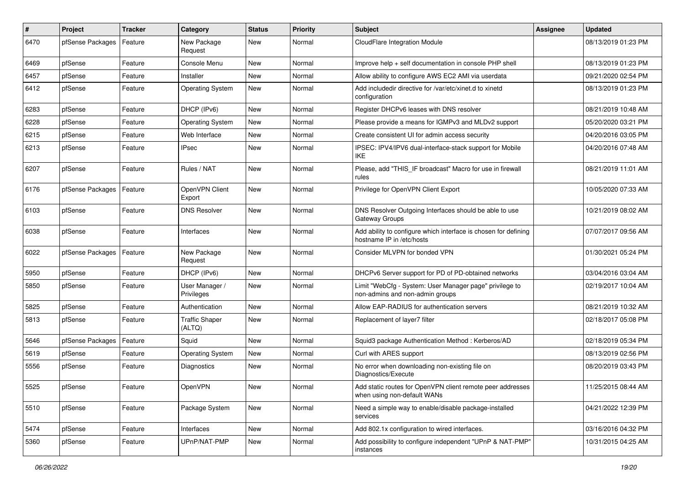| #    | Project          | <b>Tracker</b> | Category                        | <b>Status</b> | <b>Priority</b> | <b>Subject</b>                                                                               | Assignee | <b>Updated</b>      |
|------|------------------|----------------|---------------------------------|---------------|-----------------|----------------------------------------------------------------------------------------------|----------|---------------------|
| 6470 | pfSense Packages | Feature        | New Package<br>Request          | New           | Normal          | CloudFlare Integration Module                                                                |          | 08/13/2019 01:23 PM |
| 6469 | pfSense          | Feature        | Console Menu                    | New           | Normal          | Improve help + self documentation in console PHP shell                                       |          | 08/13/2019 01:23 PM |
| 6457 | pfSense          | Feature        | Installer                       | New           | Normal          | Allow ability to configure AWS EC2 AMI via userdata                                          |          | 09/21/2020 02:54 PM |
| 6412 | pfSense          | Feature        | <b>Operating System</b>         | <b>New</b>    | Normal          | Add includedir directive for /var/etc/xinet.d to xinetd<br>configuration                     |          | 08/13/2019 01:23 PM |
| 6283 | pfSense          | Feature        | DHCP (IPv6)                     | <b>New</b>    | Normal          | Register DHCPv6 leases with DNS resolver                                                     |          | 08/21/2019 10:48 AM |
| 6228 | pfSense          | Feature        | <b>Operating System</b>         | <b>New</b>    | Normal          | Please provide a means for IGMPv3 and MLDv2 support                                          |          | 05/20/2020 03:21 PM |
| 6215 | pfSense          | Feature        | Web Interface                   | New           | Normal          | Create consistent UI for admin access security                                               |          | 04/20/2016 03:05 PM |
| 6213 | pfSense          | Feature        | <b>IPsec</b>                    | New           | Normal          | IPSEC: IPV4/IPV6 dual-interface-stack support for Mobile<br>IKE                              |          | 04/20/2016 07:48 AM |
| 6207 | pfSense          | Feature        | Rules / NAT                     | New           | Normal          | Please, add "THIS IF broadcast" Macro for use in firewall<br>rules                           |          | 08/21/2019 11:01 AM |
| 6176 | pfSense Packages | Feature        | OpenVPN Client<br>Export        | New           | Normal          | Privilege for OpenVPN Client Export                                                          |          | 10/05/2020 07:33 AM |
| 6103 | pfSense          | Feature        | <b>DNS Resolver</b>             | <b>New</b>    | Normal          | DNS Resolver Outgoing Interfaces should be able to use<br>Gateway Groups                     |          | 10/21/2019 08:02 AM |
| 6038 | pfSense          | Feature        | Interfaces                      | <b>New</b>    | Normal          | Add ability to configure which interface is chosen for defining<br>hostname IP in /etc/hosts |          | 07/07/2017 09:56 AM |
| 6022 | pfSense Packages | Feature        | New Package<br>Request          | <b>New</b>    | Normal          | Consider MLVPN for bonded VPN                                                                |          | 01/30/2021 05:24 PM |
| 5950 | pfSense          | Feature        | DHCP (IPv6)                     | New           | Normal          | DHCPv6 Server support for PD of PD-obtained networks                                         |          | 03/04/2016 03:04 AM |
| 5850 | pfSense          | Feature        | User Manager /<br>Privileges    | New           | Normal          | Limit "WebCfg - System: User Manager page" privilege to<br>non-admins and non-admin groups   |          | 02/19/2017 10:04 AM |
| 5825 | pfSense          | Feature        | Authentication                  | New           | Normal          | Allow EAP-RADIUS for authentication servers                                                  |          | 08/21/2019 10:32 AM |
| 5813 | pfSense          | Feature        | <b>Traffic Shaper</b><br>(ALTQ) | New           | Normal          | Replacement of layer7 filter                                                                 |          | 02/18/2017 05:08 PM |
| 5646 | pfSense Packages | Feature        | Squid                           | <b>New</b>    | Normal          | Squid3 package Authentication Method: Kerberos/AD                                            |          | 02/18/2019 05:34 PM |
| 5619 | pfSense          | Feature        | <b>Operating System</b>         | New           | Normal          | Curl with ARES support                                                                       |          | 08/13/2019 02:56 PM |
| 5556 | pfSense          | Feature        | Diagnostics                     | New           | Normal          | No error when downloading non-existing file on<br>Diagnostics/Execute                        |          | 08/20/2019 03:43 PM |
| 5525 | pfSense          | Feature        | OpenVPN                         | New           | Normal          | Add static routes for OpenVPN client remote peer addresses<br>when using non-default WANs    |          | 11/25/2015 08:44 AM |
| 5510 | pfSense          | Feature        | Package System                  | New           | Normal          | Need a simple way to enable/disable package-installed<br>services                            |          | 04/21/2022 12:39 PM |
| 5474 | pfSense          | Feature        | Interfaces                      | New           | Normal          | Add 802.1x configuration to wired interfaces.                                                |          | 03/16/2016 04:32 PM |
| 5360 | pfSense          | Feature        | UPnP/NAT-PMP                    | New           | Normal          | Add possibility to configure independent "UPnP & NAT-PMP"<br>instances                       |          | 10/31/2015 04:25 AM |